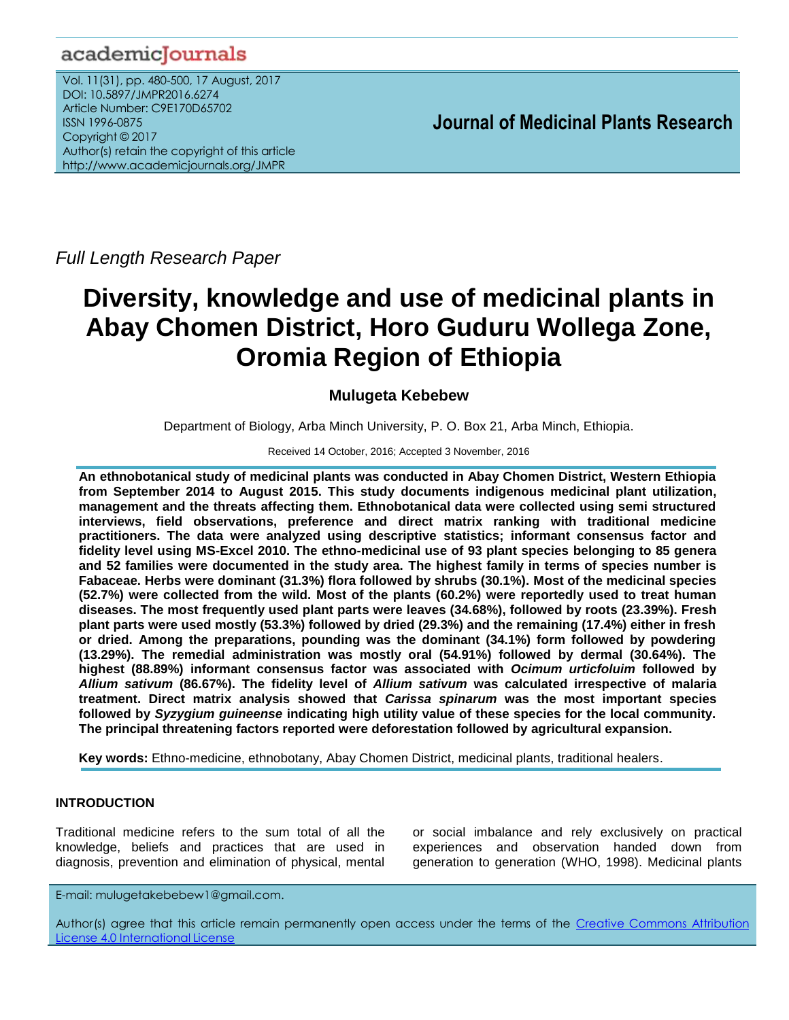## academicJournals

Vol. 11(31), pp. 480-500, 17 August, 2017 DOI: 10.5897/JMPR2016.6274 Article Number: C9E170D65702 ISSN 1996-0875 Copyright © 2017 Author(s) retain the copyright of this article http://www.academicjournals.org/JMPR

 **Journal of Medicinal Plants Research**

*Full Length Research Paper*

# **Diversity, knowledge and use of medicinal plants in Abay Chomen District, Horo Guduru Wollega Zone, Oromia Region of Ethiopia**

## **Mulugeta Kebebew**

Department of Biology, Arba Minch University, P. O. Box 21, Arba Minch, Ethiopia.

Received 14 October, 2016; Accepted 3 November, 2016

**An ethnobotanical study of medicinal plants was conducted in Abay Chomen District, Western Ethiopia from September 2014 to August 2015. This study documents indigenous medicinal plant utilization, management and the threats affecting them. Ethnobotanical data were collected using semi structured interviews, field observations, preference and direct matrix ranking with traditional medicine practitioners. The data were analyzed using descriptive statistics; informant consensus factor and fidelity level using MS-Excel 2010. The ethno-medicinal use of 93 plant species belonging to 85 genera and 52 families were documented in the study area. The highest family in terms of species number is Fabaceae. Herbs were dominant (31.3%) flora followed by shrubs (30.1%). Most of the medicinal species (52.7%) were collected from the wild. Most of the plants (60.2%) were reportedly used to treat human diseases. The most frequently used plant parts were leaves (34.68%), followed by roots (23.39%). Fresh plant parts were used mostly (53.3%) followed by dried (29.3%) and the remaining (17.4%) either in fresh or dried. Among the preparations, pounding was the dominant (34.1%) form followed by powdering (13.29%). The remedial administration was mostly oral (54.91%) followed by dermal (30.64%). The highest (88.89%) informant consensus factor was associated with** *Ocimum urticfoluim* **followed by**  *Allium sativum* **(86.67%). The fidelity level of** *Allium sativum* **was calculated irrespective of malaria treatment. Direct matrix analysis showed that** *Carissa spinarum* **was the most important species followed by** *Syzygium guineense* **indicating high utility value of these species for the local community. The principal threatening factors reported were deforestation followed by agricultural expansion.** 

**Key words:** Ethno-medicine, ethnobotany, Abay Chomen District, medicinal plants, traditional healers.

## **INTRODUCTION**

Traditional medicine refers to the sum total of all the knowledge, beliefs and practices that are used in diagnosis, prevention and elimination of physical, mental

or social imbalance and rely exclusively on practical experiences and observation handed down from generation to generation (WHO, 1998). Medicinal plants

E-mail: mulugetakebebew1@gmail.com.

Author(s) agree that this article remain permanently open access under the terms of the Creative Commons Attribution License 4.0 [International](http://creativecommons.org/licenses/by/4.0/deed.en_US) License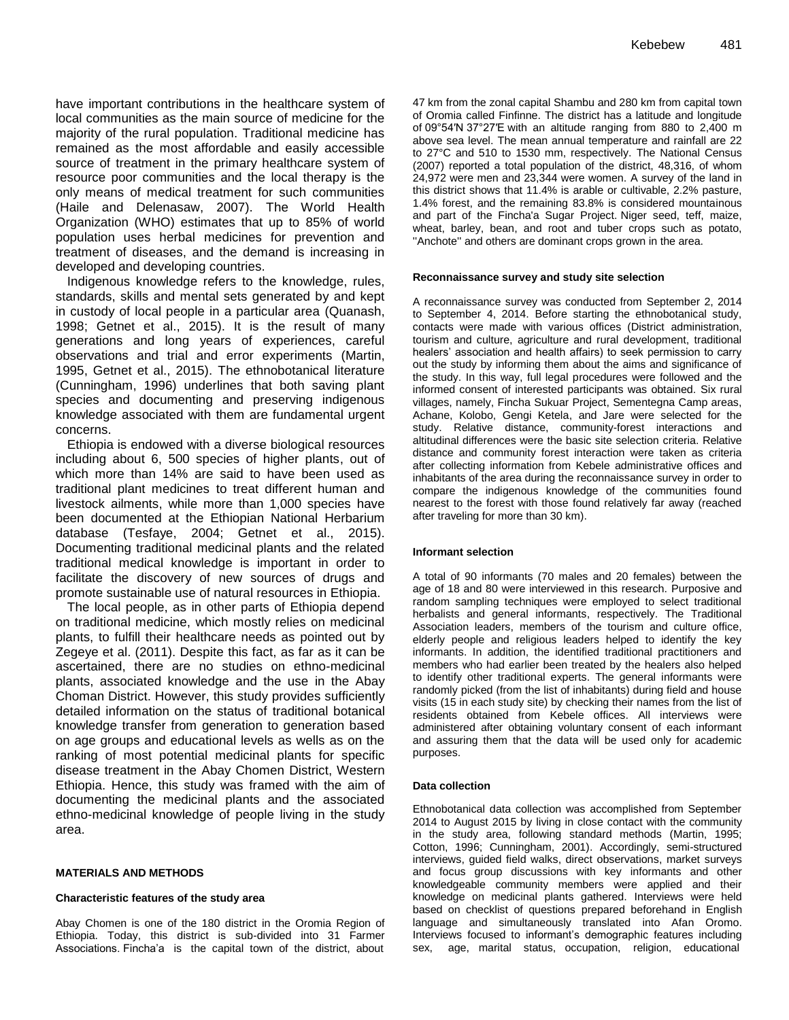have important contributions in the healthcare system of local communities as the main source of medicine for the majority of the rural population. Traditional medicine has remained as the most affordable and easily accessible source of treatment in the primary healthcare system of resource poor communities and the local therapy is the only means of medical treatment for such communities (Haile and Delenasaw, 2007). The World Health Organization (WHO) estimates that up to 85% of world population uses herbal medicines for prevention and treatment of diseases, and the demand is increasing in developed and developing countries.

Indigenous knowledge refers to the knowledge, rules, standards, skills and mental sets generated by and kept in custody of local people in a particular area (Quanash, 1998; Getnet et al., 2015). It is the result of many generations and long years of experiences, careful observations and trial and error experiments (Martin, 1995, Getnet et al., 2015). The ethnobotanical literature (Cunningham, 1996) underlines that both saving plant species and documenting and preserving indigenous knowledge associated with them are fundamental urgent concerns.

Ethiopia is endowed with a diverse biological resources including about 6, 500 species of higher plants, out of which more than 14% are said to have been used as traditional plant medicines to treat different human and livestock ailments, while more than 1,000 species have been documented at the Ethiopian National Herbarium database (Tesfaye, 2004; Getnet et al., 2015). Documenting traditional medicinal plants and the related traditional medical knowledge is important in order to facilitate the discovery of new sources of drugs and promote sustainable use of natural resources in Ethiopia.

The local people, as in other parts of Ethiopia depend on traditional medicine, which mostly relies on medicinal plants, to fulfill their healthcare needs as pointed out by Zegeye et al. (2011). Despite this fact, as far as it can be ascertained, there are no studies on ethno-medicinal plants, associated knowledge and the use in the Abay Choman District. However, this study provides sufficiently detailed information on the status of traditional botanical knowledge transfer from generation to generation based on age groups and educational levels as wells as on the ranking of most potential medicinal plants for specific disease treatment in the Abay Chomen District, Western Ethiopia. Hence, this study was framed with the aim of documenting the medicinal plants and the associated ethno-medicinal knowledge of people living in the study area.

#### **MATERIALS AND METHODS**

#### **Characteristic features of the study area**

Abay Chomen is one of the 180 district in the Oromia Region of Ethiopia. Today, this district is sub-divided into 31 Farmer Associations. Fincha'a is the capital town of the district, about

47 km from the zonal capital Shambu and 280 km from capital town of Oromia called Finfinne. The district has a latitude and longitude of [09°54′N](http://tools.wmflabs.org/geohack/geohack.php?pagename=Finicha%27a¶ms=09_54_N_37_27_E_) 37°27′E with an altitude ranging from 880 to 2,400 m above sea level. The mean annual temperature and rainfall are 22 to 27°C and 510 to 1530 mm, respectively. The National Census (2007) reported a total population of the district, 48,316, of whom 24,972 were men and 23,344 were women. A survey of the land in this district shows that 11.4% is arable or cultivable, 2.2% pasture, 1.4% forest, and the remaining 83.8% is considered mountainous and part of the Fincha'a Sugar Project. Niger seed, teff, maize, wheat, barley, bean, and root and tuber crops such as potato, ''Anchote'' and others are dominant crops grown in the area.

#### **Reconnaissance survey and study site selection**

A reconnaissance survey was conducted from September 2, 2014 to September 4, 2014. Before starting the ethnobotanical study, contacts were made with various offices (District administration, tourism and culture, agriculture and rural development, traditional healers' association and health affairs) to seek permission to carry out the study by informing them about the aims and significance of the study. In this way, full legal procedures were followed and the informed consent of interested participants was obtained. Six rural villages, namely, Fincha Sukuar Project, Sementegna Camp areas, Achane, Kolobo, Gengi Ketela, and Jare were selected for the study. Relative distance, community-forest interactions and altitudinal differences were the basic site selection criteria. Relative distance and community forest interaction were taken as criteria after collecting information from Kebele administrative offices and inhabitants of the area during the reconnaissance survey in order to compare the indigenous knowledge of the communities found nearest to the forest with those found relatively far away (reached after traveling for more than 30 km).

#### **Informant selection**

A total of 90 informants (70 males and 20 females) between the age of 18 and 80 were interviewed in this research. Purposive and random sampling techniques were employed to select traditional herbalists and general informants, respectively. The Traditional Association leaders, members of the tourism and culture office, elderly people and religious leaders helped to identify the key informants. In addition, the identified traditional practitioners and members who had earlier been treated by the healers also helped to identify other traditional experts. The general informants were randomly picked (from the list of inhabitants) during field and house visits (15 in each study site) by checking their names from the list of residents obtained from Kebele offices. All interviews were administered after obtaining voluntary consent of each informant and assuring them that the data will be used only for academic purposes.

#### **Data collection**

Ethnobotanical data collection was accomplished from September 2014 to August 2015 by living in close contact with the community in the study area, following standard methods (Martin, 1995; Cotton, 1996; Cunningham, 2001). Accordingly, semi-structured interviews, guided field walks, direct observations, market surveys and focus group discussions with key informants and other knowledgeable community members were applied and their knowledge on medicinal plants gathered. Interviews were held based on checklist of questions prepared beforehand in English language and simultaneously translated into Afan Oromo. Interviews focused to informant's demographic features including sex, age, marital status, occupation, religion, educational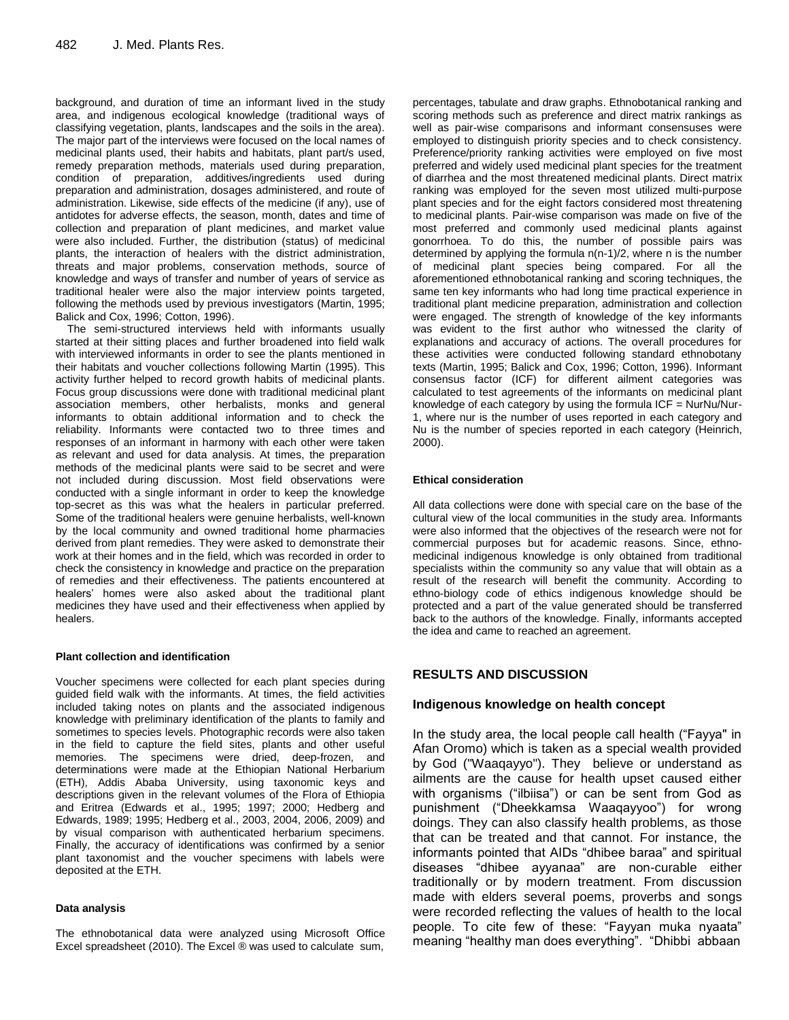background, and duration of time an informant lived in the study area, and indigenous ecological knowledge (traditional ways of classifying vegetation, plants, landscapes and the soils in the area). The major part of the interviews were focused on the local names of medicinal plants used, their habits and habitats, plant part/s used, remedy preparation methods, materials used during preparation, condition of preparation, additives/ingredients used during preparation and administration, dosages administered, and route of administration. Likewise, side effects of the medicine (if any), use of antidotes for adverse effects, the season, month, dates and time of collection and preparation of plant medicines, and market value were also included. Further, the distribution (status) of medicinal plants, the interaction of healers with the district administration, threats and major problems, conservation methods, source of knowledge and ways of transfer and number of years of service as traditional healer were also the major interview points targeted, following the methods used by previous investigators (Martin, 1995; Balick and Cox, 1996; Cotton, 1996).

The semi-structured interviews held with informants usually started at their sitting places and further broadened into field walk with interviewed informants in order to see the plants mentioned in their habitats and voucher collections following Martin (1995). This activity further helped to record growth habits of medicinal plants. Focus group discussions were done with traditional medicinal plant association members, other herbalists, monks and general informants to obtain additional information and to check the reliability. Informants were contacted two to three times and responses of an informant in harmony with each other were taken as relevant and used for data analysis. At times, the preparation methods of the medicinal plants were said to be secret and were not included during discussion. Most field observations were conducted with a single informant in order to keep the knowledge top-secret as this was what the healers in particular preferred. Some of the traditional healers were genuine herbalists, well-known by the local community and owned traditional home pharmacies derived from plant remedies. They were asked to demonstrate their work at their homes and in the field, which was recorded in order to check the consistency in knowledge and practice on the preparation of remedies and their effectiveness. The patients encountered at healers' homes were also asked about the traditional plant medicines they have used and their effectiveness when applied by healers.

#### **Plant collection and identification**

Voucher specimens were collected for each plant species during guided field walk with the informants. At times, the field activities included taking notes on plants and the associated indigenous knowledge with preliminary identification of the plants to family and sometimes to species levels. Photographic records were also taken in the field to capture the field sites, plants and other useful memories. The specimens were dried, deep-frozen, and determinations were made at the Ethiopian National Herbarium (ETH), Addis Ababa University, using taxonomic keys and descriptions given in the relevant volumes of the Flora of Ethiopia and Eritrea (Edwards et al., 1995; 1997; 2000; Hedberg and Edwards, 1989; 1995; Hedberg et al., 2003, 2004, 2006, 2009) and by visual comparison with authenticated herbarium specimens. Finally, the accuracy of identifications was confirmed by a senior plant taxonomist and the voucher specimens with labels were deposited at the ETH.

#### **Data analysis**

The ethnobotanical data were analyzed using Microsoft Office Excel spreadsheet (2010). The Excel ® was used to calculate sum,

percentages, tabulate and draw graphs. Ethnobotanical ranking and scoring methods such as preference and direct matrix rankings as well as pair-wise comparisons and informant consensuses were employed to distinguish priority species and to check consistency. Preference/priority ranking activities were employed on five most preferred and widely used medicinal plant species for the treatment of diarrhea and the most threatened medicinal plants. Direct matrix ranking was employed for the seven most utilized multi-purpose plant species and for the eight factors considered most threatening to medicinal plants. Pair-wise comparison was made on five of the most preferred and commonly used medicinal plants against gonorrhoea. To do this, the number of possible pairs was determined by applying the formula n(n-1)/2, where n is the number of medicinal plant species being compared. For all the aforementioned ethnobotanical ranking and scoring techniques, the same ten key informants who had long time practical experience in traditional plant medicine preparation, administration and collection were engaged. The strength of knowledge of the key informants was evident to the first author who witnessed the clarity of explanations and accuracy of actions. The overall procedures for these activities were conducted following standard ethnobotany texts (Martin, 1995; Balick and Cox, 1996; Cotton, 1996). Informant consensus factor (ICF) for different ailment categories was calculated to test agreements of the informants on medicinal plant knowledge of each category by using the formula ICF = NurNu/Nur-1, where nur is the number of uses reported in each category and Nu is the number of species reported in each category (Heinrich, 2000).

#### **Ethical consideration**

All data collections were done with special care on the base of the cultural view of the local communities in the study area. Informants were also informed that the objectives of the research were not for commercial purposes but for academic reasons. Since, ethnomedicinal indigenous knowledge is only obtained from traditional specialists within the community so any value that will obtain as a result of the research will benefit the community. According to ethno-biology code of ethics indigenous knowledge should be protected and a part of the value generated should be transferred back to the authors of the knowledge. Finally, informants accepted the idea and came to reached an agreement.

#### **RESULTS AND DISCUSSION**

#### **Indigenous knowledge on health concept**

In the study area, the local people call health ("Fayya" in Afan Oromo) which is taken as a special wealth provided by God ("Waaqayyo"). They believe or understand as ailments are the cause for health upset caused either with organisms ("ilbiisa") or can be sent from God as punishment ("Dheekkamsa Waaqayyoo") for wrong doings. They can also classify health problems, as those that can be treated and that cannot. For instance, the informants pointed that AIDs "dhibee baraa" and spiritual diseases "dhibee ayyanaa" are non-curable either traditionally or by modern treatment. From discussion made with elders several poems, proverbs and songs were recorded reflecting the values of health to the local people. To cite few of these: "Fayyan muka nyaata" meaning "healthy man does everything". "Dhibbi abbaan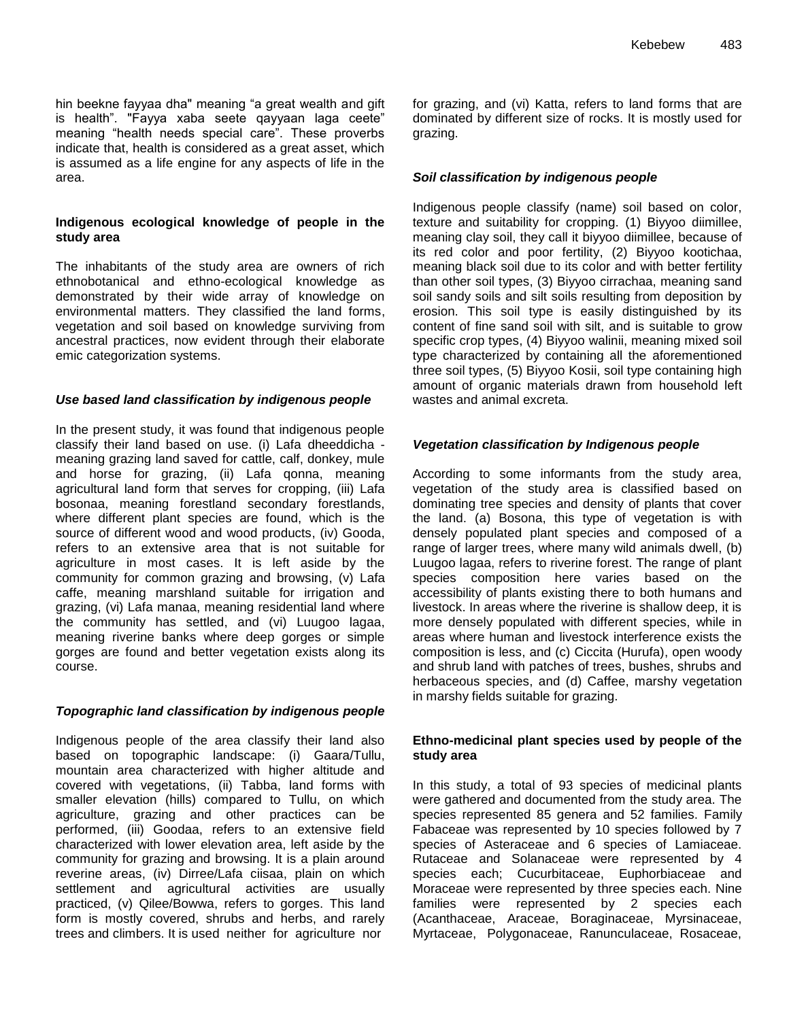hin beekne fayyaa dha" meaning "a great wealth and gift is health". "Fayya xaba seete qayyaan laga ceete" meaning "health needs special care". These proverbs indicate that, health is considered as a great asset, which is assumed as a life engine for any aspects of life in the area.

#### **Indigenous ecological knowledge of people in the study area**

The inhabitants of the study area are owners of rich ethnobotanical and ethno-ecological knowledge as demonstrated by their wide array of knowledge on environmental matters. They classified the land forms, vegetation and soil based on knowledge surviving from ancestral practices, now evident through their elaborate emic categorization systems.

#### *Use based land classification by indigenous people*

In the present study, it was found that indigenous people classify their land based on use. (i) Lafa dheeddicha meaning grazing land saved for cattle, calf, donkey, mule and horse for grazing, (ii) Lafa qonna, meaning agricultural land form that serves for cropping, (iii) Lafa bosonaa, meaning forestland secondary forestlands, where different plant species are found, which is the source of different wood and wood products, (iv) Gooda, refers to an extensive area that is not suitable for agriculture in most cases. It is left aside by the community for common grazing and browsing, (v) Lafa caffe, meaning marshland suitable for irrigation and grazing, (vi) Lafa manaa, meaning residential land where the community has settled, and (vi) Luugoo lagaa, meaning riverine banks where deep gorges or simple gorges are found and better vegetation exists along its course.

#### *Topographic land classification by indigenous people*

Indigenous people of the area classify their land also based on topographic landscape: (i) Gaara/Tullu, mountain area characterized with higher altitude and covered with vegetations, (ii) Tabba, land forms with smaller elevation (hills) compared to Tullu, on which agriculture, grazing and other practices can be performed, (iii) Goodaa, refers to an extensive field characterized with lower elevation area, left aside by the community for grazing and browsing. It is a plain around reverine areas, (iv) Dirree/Lafa ciisaa, plain on which settlement and agricultural activities are usually practiced, (v) Qilee/Bowwa, refers to gorges. This land form is mostly covered, shrubs and herbs, and rarely trees and climbers. It is used neither for agriculture nor

for grazing, and (vi) Katta, refers to land forms that are dominated by different size of rocks. It is mostly used for grazing.

## *Soil classification by indigenous people*

Indigenous people classify (name) soil based on color, texture and suitability for cropping. (1) Biyyoo diimillee, meaning clay soil, they call it biyyoo diimillee, because of its red color and poor fertility, (2) Biyyoo kootichaa, meaning black soil due to its color and with better fertility than other soil types, (3) Biyyoo cirrachaa, meaning sand soil sandy soils and silt soils resulting from deposition by erosion. This soil type is easily distinguished by its content of fine sand soil with silt, and is suitable to grow specific crop types, (4) Biyyoo walinii, meaning mixed soil type characterized by containing all the aforementioned three soil types, (5) Biyyoo Kosii, soil type containing high amount of organic materials drawn from household left wastes and animal excreta.

## *Vegetation classification by Indigenous people*

According to some informants from the study area, vegetation of the study area is classified based on dominating tree species and density of plants that cover the land. (a) Bosona, this type of vegetation is with densely populated plant species and composed of a range of larger trees, where many wild animals dwell, (b) Luugoo lagaa, refers to riverine forest. The range of plant species composition here varies based on the accessibility of plants existing there to both humans and livestock. In areas where the riverine is shallow deep, it is more densely populated with different species, while in areas where human and livestock interference exists the composition is less, and (c) Ciccita (Hurufa), open woody and shrub land with patches of trees, bushes, shrubs and herbaceous species, and (d) Caffee, marshy vegetation in marshy fields suitable for grazing.

## **Ethno-medicinal plant species used by people of the study area**

In this study, a total of 93 species of medicinal plants were gathered and documented from the study area. The species represented 85 genera and 52 families. Family Fabaceae was represented by 10 species followed by 7 species of Asteraceae and 6 species of Lamiaceae. Rutaceae and Solanaceae were represented by 4 species each; Cucurbitaceae, Euphorbiaceae and Moraceae were represented by three species each. Nine families were represented by 2 species each (Acanthaceae, Araceae, Boraginaceae, Myrsinaceae, Myrtaceae, Polygonaceae, Ranunculaceae, Rosaceae,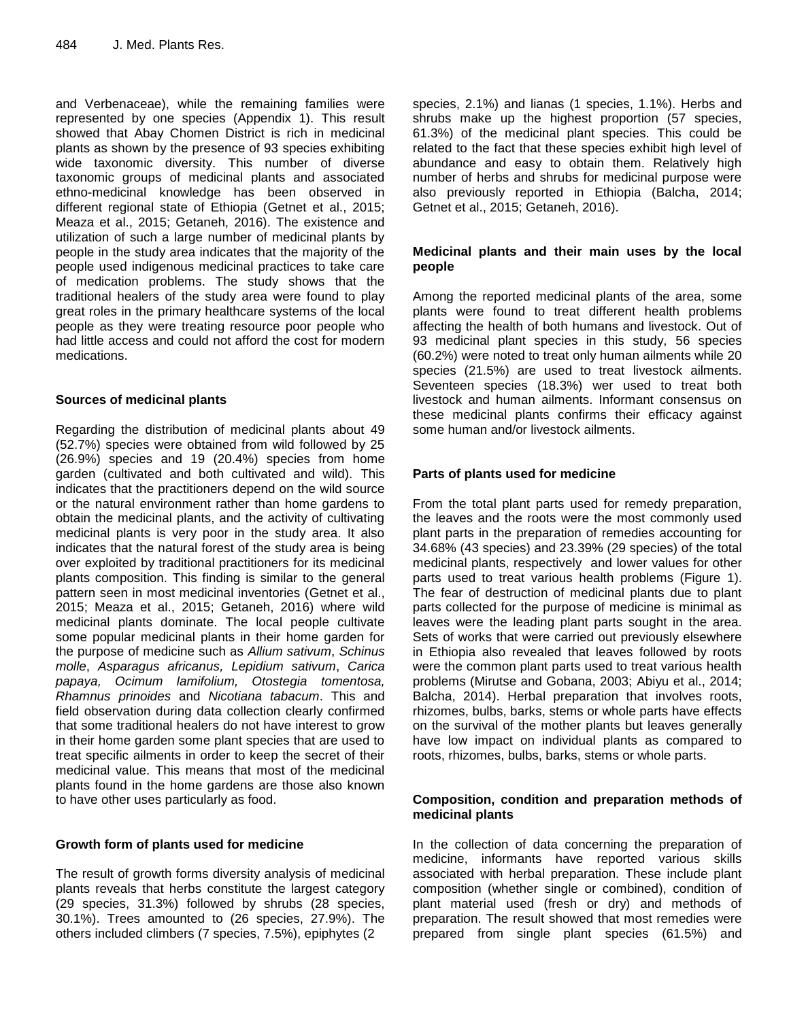and Verbenaceae), while the remaining families were represented by one species (Appendix 1). This result showed that Abay Chomen District is rich in medicinal plants as shown by the presence of 93 species exhibiting wide taxonomic diversity. This number of diverse taxonomic groups of medicinal plants and associated ethno-medicinal knowledge has been observed in different regional state of Ethiopia (Getnet et al., 2015; Meaza et al., 2015; Getaneh, 2016). The existence and utilization of such a large number of medicinal plants by people in the study area indicates that the majority of the people used indigenous medicinal practices to take care of medication problems. The study shows that the traditional healers of the study area were found to play great roles in the primary healthcare systems of the local people as they were treating resource poor people who had little access and could not afford the cost for modern medications.

## **Sources of medicinal plants**

Regarding the distribution of medicinal plants about 49 (52.7%) species were obtained from wild followed by 25 (26.9%) species and 19 (20.4%) species from home garden (cultivated and both cultivated and wild). This indicates that the practitioners depend on the wild source or the natural environment rather than home gardens to obtain the medicinal plants, and the activity of cultivating medicinal plants is very poor in the study area. It also indicates that the natural forest of the study area is being over exploited by traditional practitioners for its medicinal plants composition. This finding is similar to the general pattern seen in most medicinal inventories (Getnet et al., 2015; Meaza et al., 2015; Getaneh, 2016) where wild medicinal plants dominate. The local people cultivate some popular medicinal plants in their home garden for the purpose of medicine such as *Allium sativum*, *Schinus molle*, *Asparagus africanus, Lepidium sativum*, *Carica papaya, Ocimum lamifolium, Otostegia tomentosa, Rhamnus prinoides* and *Nicotiana tabacum*. This and field observation during data collection clearly confirmed that some traditional healers do not have interest to grow in their home garden some plant species that are used to treat specific ailments in order to keep the secret of their medicinal value. This means that most of the medicinal plants found in the home gardens are those also known to have other uses particularly as food.

## **Growth form of plants used for medicine**

The result of growth forms diversity analysis of medicinal plants reveals that herbs constitute the largest category (29 species, 31.3%) followed by shrubs (28 species, 30.1%). Trees amounted to (26 species, 27.9%). The others included climbers (7 species, 7.5%), epiphytes (2

species, 2.1%) and lianas (1 species, 1.1%). Herbs and shrubs make up the highest proportion (57 species, 61.3%) of the medicinal plant species. This could be related to the fact that these species exhibit high level of abundance and easy to obtain them. Relatively high number of herbs and shrubs for medicinal purpose were also previously reported in Ethiopia (Balcha, 2014; Getnet et al., 2015; Getaneh, 2016).

## **Medicinal plants and their main uses by the local people**

Among the reported medicinal plants of the area, some plants were found to treat different health problems affecting the health of both humans and livestock. Out of 93 medicinal plant species in this study, 56 species (60.2%) were noted to treat only human ailments while 20 species (21.5%) are used to treat livestock ailments. Seventeen species (18.3%) wer used to treat both livestock and human ailments. Informant consensus on these medicinal plants confirms their efficacy against some human and/or livestock ailments.

## **Parts of plants used for medicine**

From the total plant parts used for remedy preparation, the leaves and the roots were the most commonly used plant parts in the preparation of remedies accounting for 34.68% (43 species) and 23.39% (29 species) of the total medicinal plants, respectively and lower values for other parts used to treat various health problems (Figure 1). The fear of destruction of medicinal plants due to plant parts collected for the purpose of medicine is minimal as leaves were the leading plant parts sought in the area. Sets of works that were carried out previously elsewhere in Ethiopia also revealed that leaves followed by roots were the common plant parts used to treat various health problems (Mirutse and Gobana, 2003; Abiyu et al., 2014; Balcha, 2014). Herbal preparation that involves roots, rhizomes, bulbs, barks, stems or whole parts have effects on the survival of the mother plants but leaves generally have low impact on individual plants as compared to roots, rhizomes, bulbs, barks, stems or whole parts.

#### **Composition, condition and preparation methods of medicinal plants**

In the collection of data concerning the preparation of medicine, informants have reported various skills associated with herbal preparation. These include plant composition (whether single or combined), condition of plant material used (fresh or dry) and methods of preparation. The result showed that most remedies were prepared from single plant species (61.5%) and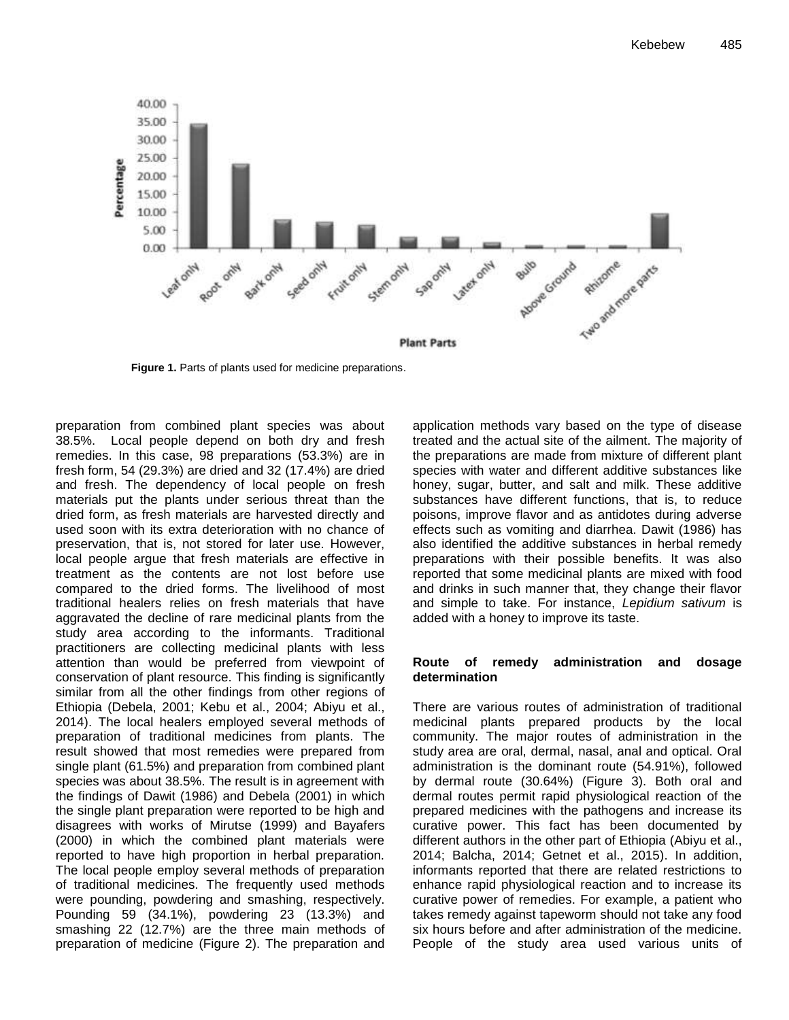

**Figure 1.** Parts of plants used for medicine preparations.

preparation from combined plant species was about 38.5%. Local people depend on both dry and fresh remedies. In this case, 98 preparations (53.3%) are in fresh form, 54 (29.3%) are dried and 32 (17.4%) are dried and fresh. The dependency of local people on fresh materials put the plants under serious threat than the dried form, as fresh materials are harvested directly and used soon with its extra deterioration with no chance of preservation, that is, not stored for later use. However, local people argue that fresh materials are effective in treatment as the contents are not lost before use compared to the dried forms. The livelihood of most traditional healers relies on fresh materials that have aggravated the decline of rare medicinal plants from the study area according to the informants. Traditional practitioners are collecting medicinal plants with less attention than would be preferred from viewpoint of conservation of plant resource. This finding is significantly similar from all the other findings from other regions of Ethiopia (Debela, 2001; Kebu et al., 2004; Abiyu et al., 2014). The local healers employed several methods of preparation of traditional medicines from plants. The result showed that most remedies were prepared from single plant (61.5%) and preparation from combined plant species was about 38.5%. The result is in agreement with the findings of Dawit (1986) and Debela (2001) in which the single plant preparation were reported to be high and disagrees with works of Mirutse (1999) and Bayafers (2000) in which the combined plant materials were reported to have high proportion in herbal preparation. The local people employ several methods of preparation of traditional medicines. The frequently used methods were pounding, powdering and smashing, respectively. Pounding 59 (34.1%), powdering 23 (13.3%) and smashing 22 (12.7%) are the three main methods of preparation of medicine (Figure 2). The preparation and application methods vary based on the type of disease treated and the actual site of the ailment. The majority of the preparations are made from mixture of different plant species with water and different additive substances like honey, sugar, butter, and salt and milk. These additive substances have different functions, that is, to reduce poisons, improve flavor and as antidotes during adverse effects such as vomiting and diarrhea. Dawit (1986) has also identified the additive substances in herbal remedy preparations with their possible benefits. It was also reported that some medicinal plants are mixed with food and drinks in such manner that, they change their flavor and simple to take. For instance, *Lepidium sativum* is added with a honey to improve its taste.

#### **Route of remedy administration and dosage determination**

There are various routes of administration of traditional medicinal plants prepared products by the local community. The major routes of administration in the study area are oral, dermal, nasal, anal and optical. Oral administration is the dominant route (54.91%), followed by dermal route (30.64%) (Figure 3). Both oral and dermal routes permit rapid physiological reaction of the prepared medicines with the pathogens and increase its curative power. This fact has been documented by different authors in the other part of Ethiopia (Abiyu et al., 2014; Balcha, 2014; Getnet et al., 2015). In addition, informants reported that there are related restrictions to enhance rapid physiological reaction and to increase its curative power of remedies. For example, a patient who takes remedy against tapeworm should not take any food six hours before and after administration of the medicine. People of the study area used various units of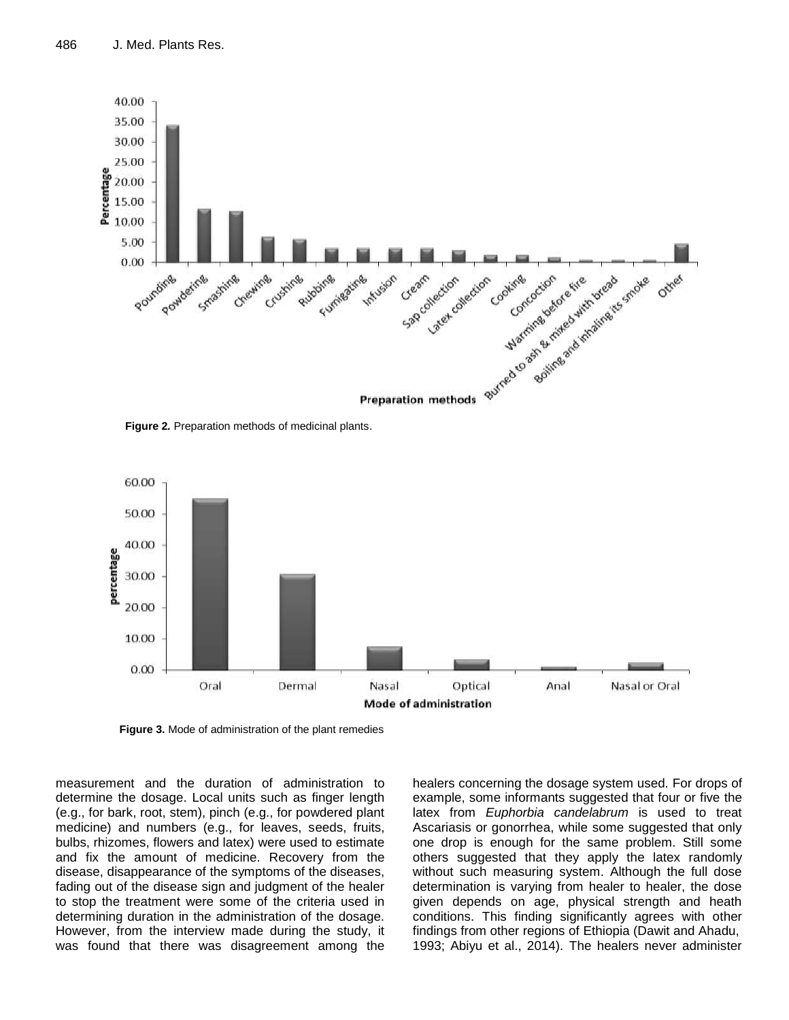



**Figure 3.** Mode of administration of the plant remedies

measurement and the duration of administration to determine the dosage. Local units such as finger length (e.g., for bark, root, stem), pinch (e.g., for powdered plant medicine) and numbers (e.g., for leaves, seeds, fruits, bulbs, rhizomes, flowers and latex) were used to estimate and fix the amount of medicine. Recovery from the disease, disappearance of the symptoms of the diseases, fading out of the disease sign and judgment of the healer to stop the treatment were some of the criteria used in determining duration in the administration of the dosage. However, from the interview made during the study, it was found that there was disagreement among the

healers concerning the dosage system used. For drops of example, some informants suggested that four or five the latex from *Euphorbia candelabrum* is used to treat Ascariasis or gonorrhea, while some suggested that only one drop is enough for the same problem. Still some others suggested that they apply the latex randomly without such measuring system. Although the full dose determination is varying from healer to healer, the dose given depends on age, physical strength and heath conditions. This finding significantly agrees with other findings from other regions of Ethiopia (Dawit and Ahadu, 1993; Abiyu et al., 2014). The healers never administer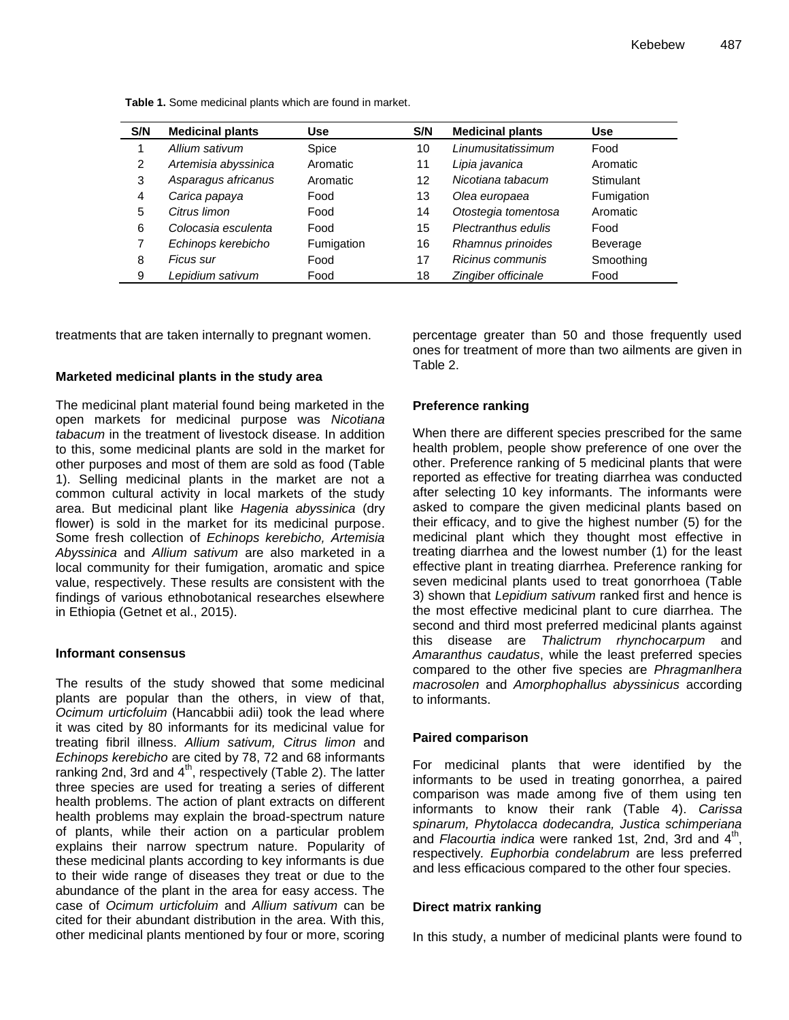| S/N | <b>Medicinal plants</b> | Use        | S/N | <b>Medicinal plants</b> | <b>Use</b>      |
|-----|-------------------------|------------|-----|-------------------------|-----------------|
|     | Allium sativum          | Spice      | 10  | Linumusitatissimum      | Food            |
| 2   | Artemisia abyssinica    | Aromatic   | 11  | Lipia javanica          | Aromatic        |
| 3   | Asparagus africanus     | Aromatic   | 12  | Nicotiana tabacum       | Stimulant       |
| 4   | Carica papaya           | Food       | 13  | Olea europaea           | Fumigation      |
| 5   | Citrus limon            | Food       | 14  | Otostegia tomentosa     | Aromatic        |
| 6   | Colocasia esculenta     | Food       | 15  | Plectranthus edulis     | Food            |
| 7   | Echinops kerebicho      | Fumigation | 16  | Rhamnus prinoides       | <b>Beverage</b> |
| 8   | Ficus sur               | Food       | 17  | Ricinus communis        | Smoothing       |
| 9   | Lepidium sativum        | Food       | 18  | Zingiber officinale     | Food            |

**Table 1.** Some medicinal plants which are found in market.

treatments that are taken internally to pregnant women.

#### **Marketed medicinal plants in the study area**

The medicinal plant material found being marketed in the open markets for medicinal purpose was *Nicotiana tabacum* in the treatment of livestock disease*.* In addition to this, some medicinal plants are sold in the market for other purposes and most of them are sold as food (Table 1). Selling medicinal plants in the market are not a common cultural activity in local markets of the study area. But medicinal plant like *Hagenia abyssinica* (dry flower) is sold in the market for its medicinal purpose. Some fresh collection of *Echinops kerebicho, Artemisia Abyssinica* and *Allium sativum* are also marketed in a local community for their fumigation, aromatic and spice value, respectively. These results are consistent with the findings of various ethnobotanical researches elsewhere in Ethiopia (Getnet et al., 2015).

#### **Informant consensus**

The results of the study showed that some medicinal plants are popular than the others, in view of that, *Ocimum urticfoluim* (Hancabbii adii) took the lead where it was cited by 80 informants for its medicinal value for treating fibril illness. *Allium sativum, Citrus limon* and *Echinops kerebicho* are cited by 78, 72 and 68 informants ranking 2nd, 3rd and  $4<sup>th</sup>$ , respectively (Table 2). The latter three species are used for treating a series of different health problems. The action of plant extracts on different health problems may explain the broad-spectrum nature of plants, while their action on a particular problem explains their narrow spectrum nature. Popularity of these medicinal plants according to key informants is due to their wide range of diseases they treat or due to the abundance of the plant in the area for easy access. The case of *Ocimum urticfoluim* and *Allium sativum* can be cited for their abundant distribution in the area. With this*,*  other medicinal plants mentioned by four or more, scoring

percentage greater than 50 and those frequently used ones for treatment of more than two ailments are given in Table 2.

#### **Preference ranking**

When there are different species prescribed for the same health problem, people show preference of one over the other. Preference ranking of 5 medicinal plants that were reported as effective for treating diarrhea was conducted after selecting 10 key informants. The informants were asked to compare the given medicinal plants based on their efficacy, and to give the highest number (5) for the medicinal plant which they thought most effective in treating diarrhea and the lowest number (1) for the least effective plant in treating diarrhea. Preference ranking for seven medicinal plants used to treat gonorrhoea (Table 3) shown that *Lepidium sativum* ranked first and hence is the most effective medicinal plant to cure diarrhea. The second and third most preferred medicinal plants against this disease are *Thalictrum rhynchocarpum* and *Amaranthus caudatus*, while the least preferred species compared to the other five species are *Phragmanlhera macrosolen* and *Amorphophallus abyssinicus* according to informants.

#### **Paired comparison**

For medicinal plants that were identified by the informants to be used in treating gonorrhea, a paired comparison was made among five of them using ten informants to know their rank (Table 4). *Carissa spinarum, Phytolacca dodecandra, Justica schimperiana*  and Flacourtia indica were ranked 1st, 2nd, 3rd and 4<sup>th</sup>, respectively*. Euphorbia condelabrum* are less preferred and less efficacious compared to the other four species.

#### **Direct matrix ranking**

In this study, a number of medicinal plants were found to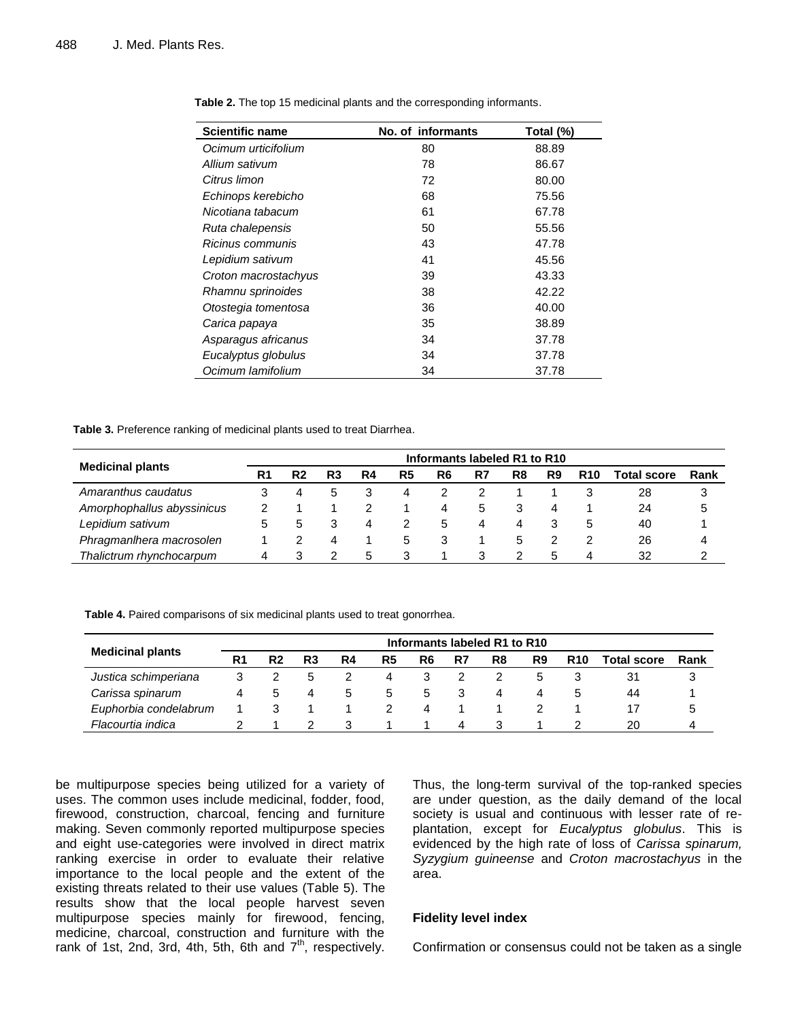| <b>Scientific name</b> | No. of informants | Total (%) |
|------------------------|-------------------|-----------|
| Ocimum urticifolium    | 80                | 88.89     |
| Allium sativum         | 78                | 86.67     |
| Citrus limon           | 72                | 80.00     |
| Echinops kerebicho     | 68                | 75.56     |
| Nicotiana tabacum      | 61                | 67.78     |
| Ruta chalepensis       | 50                | 55.56     |
| Ricinus communis       | 43                | 47.78     |
| Lepidium sativum       | 41                | 45.56     |
| Croton macrostachyus   | 39                | 43.33     |
| Rhamnu sprinoides      | 38                | 42.22     |
| Otostegia tomentosa    | 36                | 40.00     |
| Carica papaya          | 35                | 38.89     |
| Asparagus africanus    | 34                | 37.78     |
| Eucalyptus globulus    | 34                | 37.78     |
| Ocimum lamifolium      | 34                | 37.78     |

**Table 2.** The top 15 medicinal plants and the corresponding informants.

**Table 3.** Preference ranking of medicinal plants used to treat Diarrhea.

|                            | Informants labeled R1 to R10 |    |                |              |                |                |    |    |    |            |                    |      |  |
|----------------------------|------------------------------|----|----------------|--------------|----------------|----------------|----|----|----|------------|--------------------|------|--|
| <b>Medicinal plants</b>    | R1                           | R2 | R <sub>3</sub> | R4           | R <sub>5</sub> | R <sub>6</sub> | R7 | R8 | R9 | <b>R10</b> | <b>Total score</b> | Rank |  |
| Amaranthus caudatus        |                              |    | $\mathbf{b}$   |              | 4              |                |    |    |    |            | 28                 | 3    |  |
| Amorphophallus abyssinicus |                              |    |                |              |                | 4              | 5  |    |    |            | 24                 | 5    |  |
| Lepidium sativum           |                              | 5  |                | 4            | 2              | 5              | 4  |    |    | 5          | 40                 |      |  |
| Phragmanlhera macrosolen   |                              |    | 4              |              | 5              | 3              |    | ٠h |    |            | 26                 |      |  |
| Thalictrum rhynchocarpum   | Δ                            |    |                | $\mathbf{b}$ | 3              |                |    |    | :5 | 4          | 32                 |      |  |

**Table 4.** Paired comparisons of six medicinal plants used to treat gonorrhea.

|                         | Informants labeled R1 to R10 |    |    |              |    |                |    |    |                |            |                    |      |  |
|-------------------------|------------------------------|----|----|--------------|----|----------------|----|----|----------------|------------|--------------------|------|--|
| <b>Medicinal plants</b> | R <sub>1</sub>               | R2 | R3 | R4           | R5 | R <sub>6</sub> | R7 | R8 | R <sub>9</sub> | <b>R10</b> | <b>Total score</b> | Rank |  |
| Justica schimperiana    |                              |    | G  |              | 4  |                |    |    | b              |            |                    |      |  |
| Carissa spinarum        | 4                            | b. | 4  | $\mathbf{b}$ | 5  | $\mathbf{D}$   |    | 4  | 4              | :          | 44                 |      |  |
| Euphorbia condelabrum   |                              |    |    |              |    | 4              |    |    |                |            |                    | 5    |  |
| Flacourtia indica       |                              |    |    |              |    |                | Δ  |    |                |            | 20                 | 4    |  |

be multipurpose species being utilized for a variety of uses. The common uses include medicinal, fodder, food, firewood, construction, charcoal, fencing and furniture making. Seven commonly reported multipurpose species and eight use-categories were involved in direct matrix ranking exercise in order to evaluate their relative importance to the local people and the extent of the existing threats related to their use values (Table 5). The results show that the local people harvest seven multipurpose species mainly for firewood, fencing, medicine, charcoal, construction and furniture with the rank of 1st, 2nd, 3rd, 4th, 5th, 6th and  $7<sup>th</sup>$ , respectively. Thus, the long-term survival of the top-ranked species are under question, as the daily demand of the local society is usual and continuous with lesser rate of replantation, except for *Eucalyptus globulus*. This is evidenced by the high rate of loss of *Carissa spinarum, Syzygium guineense* and *Croton macrostachyus* in the area.

#### **Fidelity level index**

Confirmation or consensus could not be taken as a single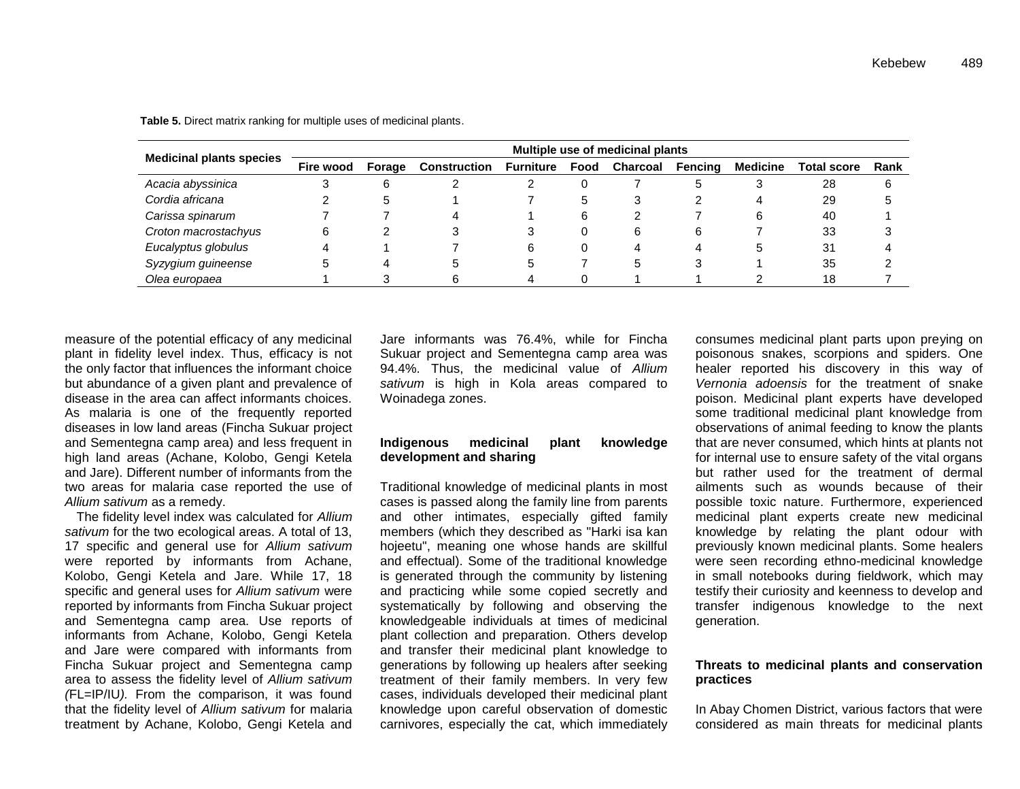|                                 | Multiple use of medicinal plants |        |                     |                  |      |                 |                |                 |                    |      |  |  |  |  |
|---------------------------------|----------------------------------|--------|---------------------|------------------|------|-----------------|----------------|-----------------|--------------------|------|--|--|--|--|
| <b>Medicinal plants species</b> | Fire wood                        | Forage | <b>Construction</b> | <b>Furniture</b> | Food | <b>Charcoal</b> | <b>Fencing</b> | <b>Medicine</b> | <b>Total score</b> | Rank |  |  |  |  |
| Acacia abyssinica               |                                  |        |                     |                  |      |                 |                |                 | 28                 | 6    |  |  |  |  |
| Cordia africana                 |                                  |        |                     |                  |      |                 |                |                 | 29                 |      |  |  |  |  |
| Carissa spinarum                |                                  |        |                     |                  |      |                 |                |                 | 40                 |      |  |  |  |  |
| Croton macrostachyus            | 6                                |        |                     |                  |      | 6               | 6              |                 | 33                 |      |  |  |  |  |
| Eucalyptus globulus             |                                  |        |                     |                  |      |                 |                |                 | 31                 |      |  |  |  |  |
| Syzygium guineense              |                                  |        | G                   |                  |      |                 |                |                 | 35                 |      |  |  |  |  |
| Olea europaea                   |                                  |        |                     |                  |      |                 |                |                 | 18                 |      |  |  |  |  |

**Table 5.** Direct matrix ranking for multiple uses of medicinal plants.

measure of the potential efficacy of any medicinal plant in fidelity level index. Thus, efficacy is not the only factor that influences the informant choice but abundance of a given plant and prevalence of disease in the area can affect informants choices. As malaria is one of the frequently reported diseases in low land areas (Fincha Sukuar project and Sementegna camp area) and less frequent in high land areas (Achane, Kolobo, Gengi Ketela and Jare). Different number of informants from the two areas for malaria case reported the use of *Allium sativum* as a remedy.

The fidelity level index was calculated for *Allium sativum* for the two ecological areas. A total of 13, 17 specific and general use for *Allium sativum*  were reported by informants from Achane, Kolobo, Gengi Ketela and Jare. While 17, 18 specific and general uses for *Allium sativum* were reported by informants from Fincha Sukuar project and Sementegna camp area. Use reports of informants from Achane, Kolobo, Gengi Ketela and Jare were compared with informants from Fincha Sukuar project and Sementegna camp area to assess the fidelity level of *Allium sativum (*FL=IP/IU*).* From the comparison, it was found that the fidelity level of *Allium sativum* for malaria treatment by Achane, Kolobo, Gengi Ketela and

Jare informants was 76.4%, while for Fincha Sukuar project and Sementegna camp area was 94.4%. Thus, the medicinal value of *Allium sativum* is high in Kola areas compared to Woinadega zones.

#### **Indigenous medicinal plant knowledge development and sharing**

Traditional knowledge of medicinal plants in most cases is passed along the family line from parents and other intimates, especially gifted family members (which they described as "Harki isa kan hojeetu", meaning one whose hands are skillful and effectual). Some of the traditional knowledge is generated through the community by listening and practicing while some copied secretly and systematically by following and observing the knowledgeable individuals at times of medicinal plant collection and preparation. Others develop and transfer their medicinal plant knowledge to generations by following up healers after seeking treatment of their family members. In very few cases, individuals developed their medicinal plant knowledge upon careful observation of domestic carnivores, especially the cat, which immediately

consumes medicinal plant parts upon preying on poisonous snakes, scorpions and spiders. One healer reported his discovery in this way of *Vernonia adoensis* for the treatment of snake poison. Medicinal plant experts have developed some traditional medicinal plant knowledge from observations of animal feeding to know the plants that are never consumed, which hints at plants not for internal use to ensure safety of the vital organs but rather used for the treatment of dermal ailments such as wounds because of their possible toxic nature. Furthermore, experienced medicinal plant experts create new medicinal knowledge by relating the plant odour with previously known medicinal plants. Some healers were seen recording ethno-medicinal knowledge in small notebooks during fieldwork, which may testify their curiosity and keenness to develop and transfer indigenous knowledge to the next generation.

#### **Threats to medicinal plants and conservation practices**

In Abay Chomen District, various factors that were considered as main threats for medicinal plants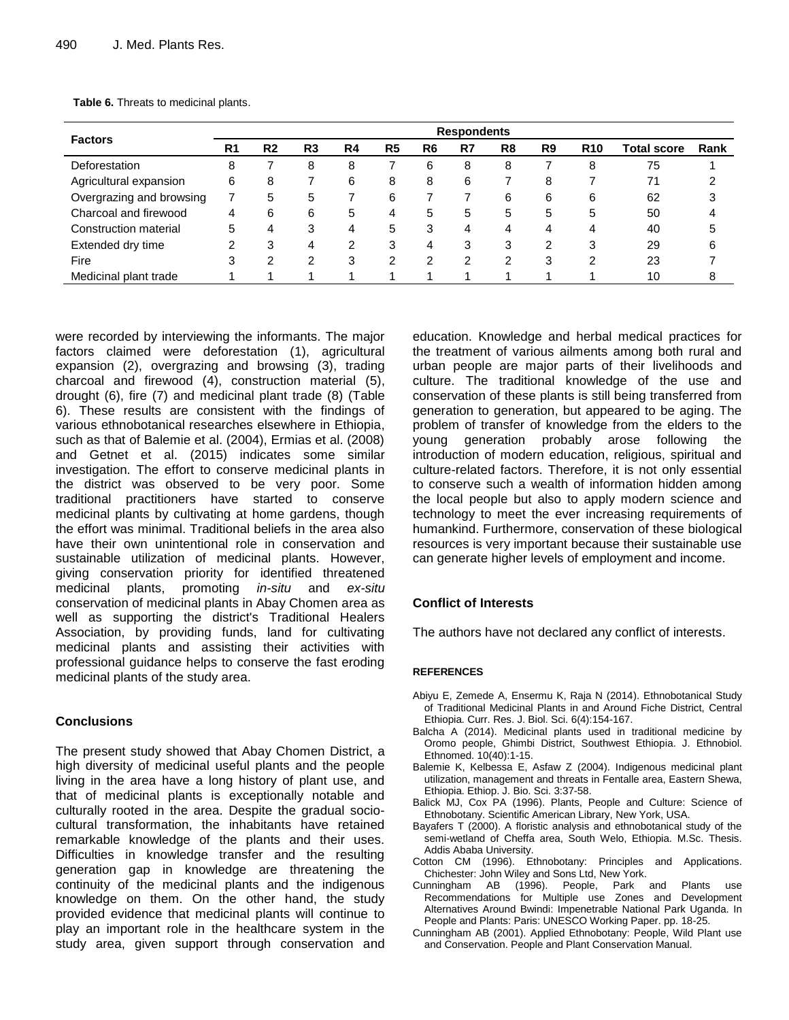| <b>Factors</b>           | R1 | R <sub>2</sub> | R3 | R4 | <b>Respondents</b><br>R <sub>5</sub><br>R <sub>7</sub><br>R8<br>R <sub>9</sub><br>R <sub>6</sub><br>6<br>8<br>8<br>8<br>6<br>8<br>6<br>8<br>8<br>6<br>6<br>6<br>5<br>5<br>5<br>5<br>5<br>4<br>5<br>3<br>4<br>4<br>4<br>4<br>3<br>2<br>3<br>2<br>3<br>4<br>3<br>2<br>3<br>າ<br>າ | <b>R10</b> | Total score | Rank |    |   |
|--------------------------|----|----------------|----|----|---------------------------------------------------------------------------------------------------------------------------------------------------------------------------------------------------------------------------------------------------------------------------------|------------|-------------|------|----|---|
| Deforestation            | 8  |                | 8  |    |                                                                                                                                                                                                                                                                                 |            |             | 8    | 75 |   |
| Agricultural expansion   | 6  | 8              |    |    |                                                                                                                                                                                                                                                                                 |            |             |      | 71 | ⌒ |
| Overgrazing and browsing |    | 5              | 5  |    |                                                                                                                                                                                                                                                                                 |            |             | 6    | 62 | 3 |
| Charcoal and firewood    | 4  | 6              | 6  |    |                                                                                                                                                                                                                                                                                 |            |             | 5    | 50 | 4 |
| Construction material    | 5  | 4              | 3  |    |                                                                                                                                                                                                                                                                                 |            |             | 4    | 40 | 5 |
| Extended dry time        | າ  | 3              | 4  |    |                                                                                                                                                                                                                                                                                 |            |             | 3    | 29 | 6 |
| Fire                     |    | າ              | っ  |    |                                                                                                                                                                                                                                                                                 |            |             | ົ    | 23 |   |
| Medicinal plant trade    |    |                |    |    |                                                                                                                                                                                                                                                                                 |            |             |      | 10 | 8 |

were recorded by interviewing the informants. The major factors claimed were deforestation (1), agricultural expansion (2), overgrazing and browsing (3), trading charcoal and firewood (4), construction material (5), drought (6), fire (7) and medicinal plant trade (8) (Table 6). These results are consistent with the findings of various ethnobotanical researches elsewhere in Ethiopia, such as that of Balemie et al. (2004), Ermias et al. (2008) and Getnet et al. (2015) indicates some similar investigation. The effort to conserve medicinal plants in the district was observed to be very poor. Some traditional practitioners have started to conserve medicinal plants by cultivating at home gardens, though the effort was minimal. Traditional beliefs in the area also have their own unintentional role in conservation and sustainable utilization of medicinal plants. However, giving conservation priority for identified threatened medicinal plants, promoting *in-situ* and *ex-situ*  conservation of medicinal plants in Abay Chomen area as well as supporting the district's Traditional Healers Association, by providing funds, land for cultivating medicinal plants and assisting their activities with professional guidance helps to conserve the fast eroding medicinal plants of the study area.

#### **Conclusions**

The present study showed that Abay Chomen District, a high diversity of medicinal useful plants and the people living in the area have a long history of plant use, and that of medicinal plants is exceptionally notable and culturally rooted in the area. Despite the gradual sociocultural transformation, the inhabitants have retained remarkable knowledge of the plants and their uses. Difficulties in knowledge transfer and the resulting generation gap in knowledge are threatening the continuity of the medicinal plants and the indigenous knowledge on them. On the other hand, the study provided evidence that medicinal plants will continue to play an important role in the healthcare system in the study area, given support through conservation and

education. Knowledge and herbal medical practices for the treatment of various ailments among both rural and urban people are major parts of their livelihoods and culture. The traditional knowledge of the use and conservation of these plants is still being transferred from generation to generation, but appeared to be aging. The problem of transfer of knowledge from the elders to the young generation probably arose following the introduction of modern education, religious, spiritual and culture-related factors. Therefore, it is not only essential to conserve such a wealth of information hidden among the local people but also to apply modern science and technology to meet the ever increasing requirements of humankind. Furthermore, conservation of these biological resources is very important because their sustainable use can generate higher levels of employment and income.

#### **Conflict of Interests**

The authors have not declared any conflict of interests.

#### **REFERENCES**

- Abiyu E, Zemede A, Ensermu K, Raja N (2014). Ethnobotanical Study of Traditional Medicinal Plants in and Around Fiche District, Central Ethiopia. Curr. Res. J. Biol. Sci. 6(4):154-167.
- Balcha A (2014). Medicinal plants used in traditional medicine by Oromo people, Ghimbi District, Southwest Ethiopia. J. Ethnobiol. Ethnomed. 10(40):1-15.
- Balemie K, Kelbessa E, Asfaw Z (2004). Indigenous medicinal plant utilization, management and threats in Fentalle area, Eastern Shewa, Ethiopia. Ethiop. J. Bio. Sci. 3:37-58.
- Balick MJ, Cox PA (1996). Plants, People and Culture: Science of Ethnobotany. Scientific American Library, New York, USA.
- Bayafers T (2000). A floristic analysis and ethnobotanical study of the semi-wetland of Cheffa area, South Welo, Ethiopia. M.Sc. Thesis. Addis Ababa University.
- Cotton CM (1996). Ethnobotany: Principles and Applications. Chichester: John Wiley and Sons Ltd, New York.
- Cunningham AB (1996). People, Park and Plants use Recommendations for Multiple use Zones and Development Alternatives Around Bwindi: Impenetrable National Park Uganda. In People and Plants: Paris: UNESCO Working Paper. pp. 18-25.
- Cunningham AB (2001). Applied Ethnobotany: People, Wild Plant use and Conservation. People and Plant Conservation Manual.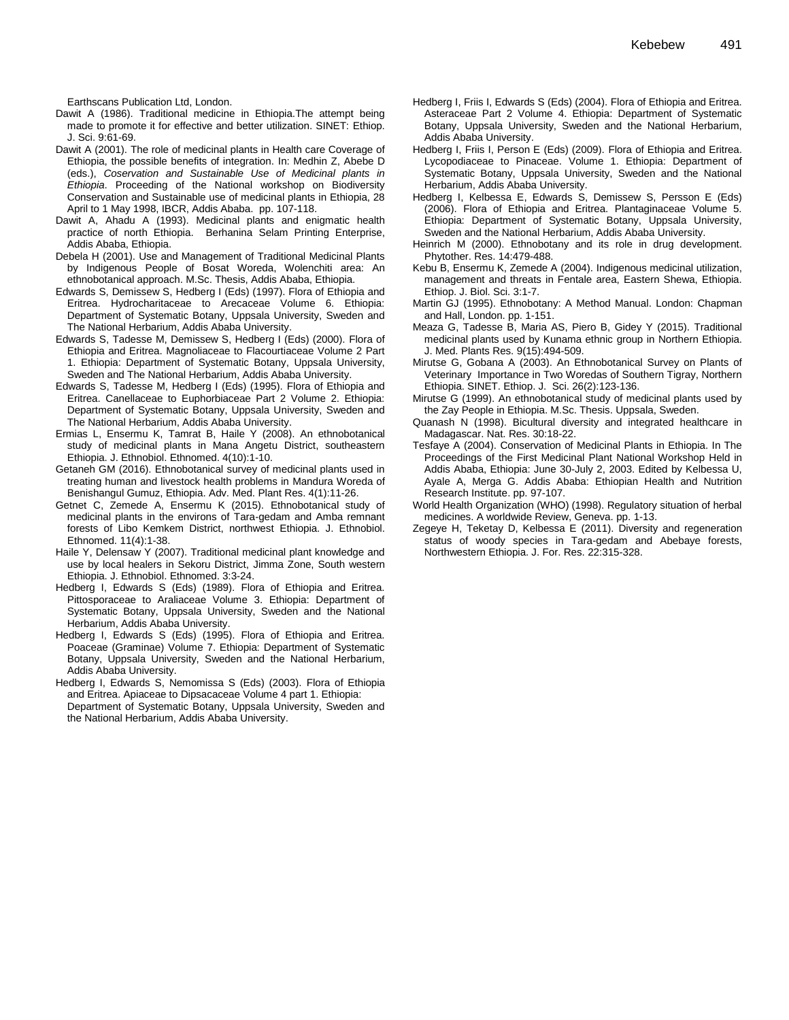Earthscans Publication Ltd, London.

- Dawit A (1986). Traditional medicine in Ethiopia.The attempt being made to promote it for effective and better utilization. SINET: Ethiop. J. Sci. 9:61-69.
- Dawit A (2001). The role of medicinal plants in Health care Coverage of Ethiopia, the possible benefits of integration. In: Medhin Z, Abebe D (eds.), *Coservation and Sustainable Use of Medicinal plants in Ethiopia*. Proceeding of the National workshop on Biodiversity Conservation and Sustainable use of medicinal plants in Ethiopia, 28 April to 1 May 1998, IBCR, Addis Ababa. pp. 107-118.
- Dawit A, Ahadu A (1993). Medicinal plants and enigmatic health practice of north Ethiopia. Berhanina Selam Printing Enterprise, Addis Ababa, Ethiopia.
- Debela H (2001). Use and Management of Traditional Medicinal Plants by Indigenous People of Bosat Woreda, Wolenchiti area: An ethnobotanical approach. M.Sc. Thesis, Addis Ababa, Ethiopia.
- Edwards S, Demissew S, Hedberg I (Eds) (1997). Flora of Ethiopia and Eritrea. Hydrocharitaceae to Arecaceae Volume 6. Ethiopia: Department of Systematic Botany, Uppsala University, Sweden and The National Herbarium, Addis Ababa University.
- Edwards S, Tadesse M, Demissew S, Hedberg I (Eds) (2000). Flora of Ethiopia and Eritrea. Magnoliaceae to Flacourtiaceae Volume 2 Part 1. Ethiopia: Department of Systematic Botany, Uppsala University, Sweden and The National Herbarium, Addis Ababa University.
- Edwards S, Tadesse M, Hedberg I (Eds) (1995). Flora of Ethiopia and Eritrea. Canellaceae to Euphorbiaceae Part 2 Volume 2. Ethiopia: Department of Systematic Botany, Uppsala University, Sweden and The National Herbarium, Addis Ababa University.
- Ermias L, Ensermu K, Tamrat B, Haile Y (2008). An ethnobotanical study of medicinal plants in Mana Angetu District, southeastern Ethiopia. J. Ethnobiol. Ethnomed. 4(10):1-10.
- Getaneh GM (2016). Ethnobotanical survey of medicinal plants used in treating human and livestock health problems in Mandura Woreda of Benishangul Gumuz, Ethiopia. Adv. Med. Plant Res. 4(1):11-26.
- Getnet C, Zemede A, Ensermu K (2015). Ethnobotanical study of medicinal plants in the environs of Tara-gedam and Amba remnant forests of Libo Kemkem District, northwest Ethiopia. J. Ethnobiol. Ethnomed. 11(4):1-38.
- Haile Y, Delensaw Y (2007). Traditional medicinal plant knowledge and use by local healers in Sekoru District, Jimma Zone, South western Ethiopia. J. Ethnobiol. Ethnomed. 3:3-24.
- Hedberg I, Edwards S (Eds) (1989). Flora of Ethiopia and Eritrea. Pittosporaceae to Araliaceae Volume 3. Ethiopia: Department of Systematic Botany, Uppsala University, Sweden and the National Herbarium, Addis Ababa University.
- Hedberg I, Edwards S (Eds) (1995). Flora of Ethiopia and Eritrea. Poaceae (Graminae) Volume 7. Ethiopia: Department of Systematic Botany, Uppsala University, Sweden and the National Herbarium, Addis Ababa University.
- Hedberg I, Edwards S, Nemomissa S (Eds) (2003). Flora of Ethiopia and Eritrea. Apiaceae to Dipsacaceae Volume 4 part 1. Ethiopia: Department of Systematic Botany, Uppsala University, Sweden and the National Herbarium, Addis Ababa University.
- Hedberg I, Friis I, Edwards S (Eds) (2004). Flora of Ethiopia and Eritrea. Asteraceae Part 2 Volume 4. Ethiopia: Department of Systematic Botany, Uppsala University, Sweden and the National Herbarium, Addis Ababa University.
- Hedberg I, Friis I, Person E (Eds) (2009). Flora of Ethiopia and Eritrea. Lycopodiaceae to Pinaceae. Volume 1. Ethiopia: Department of Systematic Botany, Uppsala University, Sweden and the National Herbarium, Addis Ababa University.
- Hedberg I, Kelbessa E, Edwards S, Demissew S, Persson E (Eds) (2006). Flora of Ethiopia and Eritrea. Plantaginaceae Volume 5. Ethiopia: Department of Systematic Botany, Uppsala University, Sweden and the National Herbarium, Addis Ababa University.
- Heinrich M (2000). Ethnobotany and its role in drug development. Phytother. Res. 14:479-488.
- Kebu B, Ensermu K, Zemede A (2004). Indigenous medicinal utilization, management and threats in Fentale area, Eastern Shewa, Ethiopia. Ethiop. J. Biol. Sci. 3:1-7.
- Martin GJ (1995). Ethnobotany: A Method Manual. London: Chapman and Hall, London. pp. 1-151.
- Meaza G, Tadesse B, Maria AS, Piero B, Gidey Y (2015). Traditional medicinal plants used by Kunama ethnic group in Northern Ethiopia. J. Med. Plants Res. 9(15):494-509.
- Mirutse G, Gobana A (2003). An Ethnobotanical Survey on Plants of Veterinary Importance in Two Woredas of Southern Tigray, Northern Ethiopia. SINET. Ethiop. J. Sci. 26(2):123-136.
- Mirutse G (1999). An ethnobotanical study of medicinal plants used by the Zay People in Ethiopia. M.Sc. Thesis. Uppsala, Sweden.
- Quanash N (1998). Bicultural diversity and integrated healthcare in Madagascar. Nat. Res. 30:18-22.
- Tesfaye A (2004). Conservation of Medicinal Plants in Ethiopia. In The Proceedings of the First Medicinal Plant National Workshop Held in Addis Ababa, Ethiopia: June 30-July 2, 2003. Edited by Kelbessa U, Ayale A, Merga G. Addis Ababa: Ethiopian Health and Nutrition Research Institute. pp. 97-107.
- World Health Organization (WHO) (1998). Regulatory situation of herbal medicines. A worldwide Review, Geneva. pp. 1-13.
- Zegeye H, Teketay D, Kelbessa E (2011). Diversity and regeneration status of woody species in Tara-gedam and Abebaye forests, Northwestern Ethiopia. J. For. Res. 22:315-328.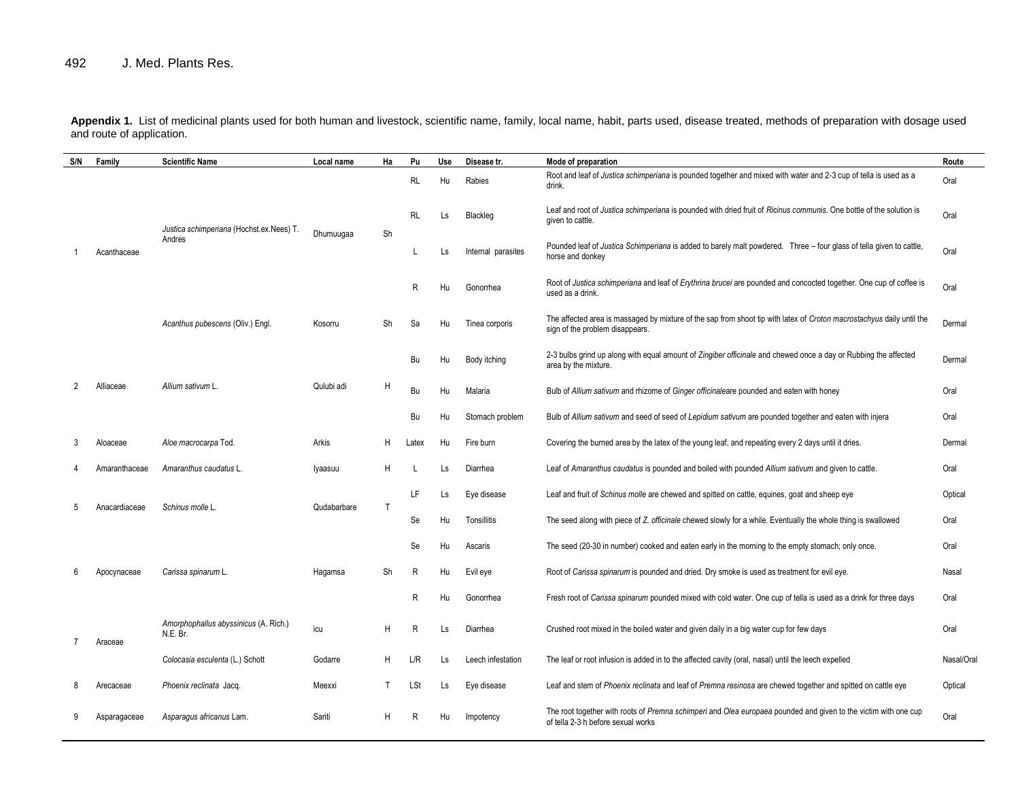## 492 J. Med. Plants Res.

Appendix 1. List of medicinal plants used for both human and livestock, scientific name, family, local name, habit, parts used, disease treated, methods of preparation with dosage used and route of application.

| S/N | Family        | <b>Scientific Name</b>                            | Local name  | Ha           | Pu        | Use | Disease tr.        | Mode of preparation                                                                                                                                      | Route      |
|-----|---------------|---------------------------------------------------|-------------|--------------|-----------|-----|--------------------|----------------------------------------------------------------------------------------------------------------------------------------------------------|------------|
|     |               |                                                   |             |              | <b>RL</b> | Hu  | Rabies             | Root and leaf of Justica schimperiana is pounded together and mixed with water and 2-3 cup of tella is used as a<br>drink.                               | Oral       |
|     |               | Justica schimperiana (Hochst.ex.Nees) T.          | Dhumuuqaa   | Sh           | <b>RL</b> | Ls  | Blackleg           | Leaf and root of Justica schimperiana is pounded with dried fruit of Ricinus communis. One bottle of the solution is<br>given to cattle.                 | Oral       |
|     | Acanthaceae   | Andres                                            |             |              |           | Ls  | Internal parasites | Pounded leaf of Justica Schimperiana is added to barely malt powdered. Three – four glass of tella given to cattle,<br>horse and donkey                  | Oral       |
|     |               |                                                   |             |              | R         | Hu  | Gonorrhea          | Root of Justica schimperiana and leaf of Erythrina brucei are pounded and concocted together. One cup of coffee is<br>used as a drink.                   | Oral       |
|     |               | Acanthus pubescens (Oliv.) Engl                   | Kosorru     | Sh           | Sa        | Hu  | Tinea corporis     | The affected area is massaged by mixture of the sap from shoot tip with latex of Croton macrostachyus daily until the<br>sign of the problem disappears. | Dermal     |
|     |               |                                                   |             |              | Bu        | Hu  | Body itching       | 2-3 bulbs grind up along with equal amount of Zingiber officinale and chewed once a day or Rubbing the affected<br>area by the mixture.                  | Dermal     |
|     | Alliaceae     | Allium sativum L                                  | Qulubi adi  | H            | Bu        | Hu  | Malaria            | Bulb of Allium sativum and rhizome of Ginger officinaleare pounded and eaten with honey                                                                  | Oral       |
|     |               |                                                   |             |              | Bu        | Hu  | Stomach problem    | Bulb of Allium sativum and seed of seed of Lepidium sativum are pounded together and eaten with injera                                                   | Oral       |
|     | Aloaceae      | Aloe macrocarpa Tod.                              | Arkis       | Н            | Latex     | Hu  | Fire burn          | Covering the burned area by the latex of the young leaf, and repeating every 2 days until it dries.                                                      | Dermal     |
|     | Amaranthaceae | Amaranthus caudatus L.                            | lyaasuu     | H            |           | Ls  | Diarrhea           | Leaf of Amaranthus caudatus is pounded and boiled with pounded Allium sativum and given to cattle.                                                       | Oral       |
|     | Anacardiaceae | Schinus molle L.                                  | Qudabarbare | $\mathsf{T}$ | LF        | Ls  | Eye disease        | Leaf and fruit of Schinus molle are chewed and spitted on cattle, equines, goat and sheep eye                                                            | Optical    |
|     |               |                                                   |             |              | Se        | Hu  | Tonsillitis        | The seed along with piece of Z. officinale chewed slowly for a while. Eventually the whole thing is swallowed                                            | Oral       |
|     |               |                                                   |             |              | Se        | Hu  | Ascaris            | The seed (20-30 in number) cooked and eaten early in the morning to the empty stomach; only once.                                                        | Oral       |
|     | Apocynaceae   | Carissa spinarum L                                | Hagamsa     | Sh           | R         | Hu  | Evil eye           | Root of Carissa spinarum is pounded and dried. Dry smoke is used as treatment for evil eye.                                                              | Nasal      |
|     |               |                                                   |             |              | R         | Hu  | Gonorrhea          | Fresh root of Carissa spinarum pounded mixed with cold water. One cup of tella is used as a drink for three days                                         | Oral       |
|     | Araceae       | Amorphophallus abyssinicus (A. Rich.)<br>N.E. Br. | icu         | H            | R         | Ls  | Diarrhea           | Crushed root mixed in the boiled water and given daily in a big water cup for few days                                                                   | Oral       |
|     |               | Colocasia esculenta (L.) Schott                   | Godarre     | H            | L/R       | Ls  | Leech infestation  | The leaf or root infusion is added in to the affected cavity (oral, nasal) until the leech expelled                                                      | Nasal/Oral |
|     | Arecaceae     | Phoenix reclinata Jacq.                           | Meexxi      | $\mathsf{T}$ | LSt       | Ls  | Eye disease        | Leaf and stem of Phoenix reclinata and leaf of Premna resinosa are chewed together and spitted on cattle eye                                             | Optical    |
|     | Asparagaceae  | Asparagus africanus Lam.                          | Sariti      | H            | R         | Hu  | Impotency          | The root together with roots of Premna schimperi and Olea europaea pounded and given to the victim with one cup<br>of tella 2-3 h before sexual works    | Oral       |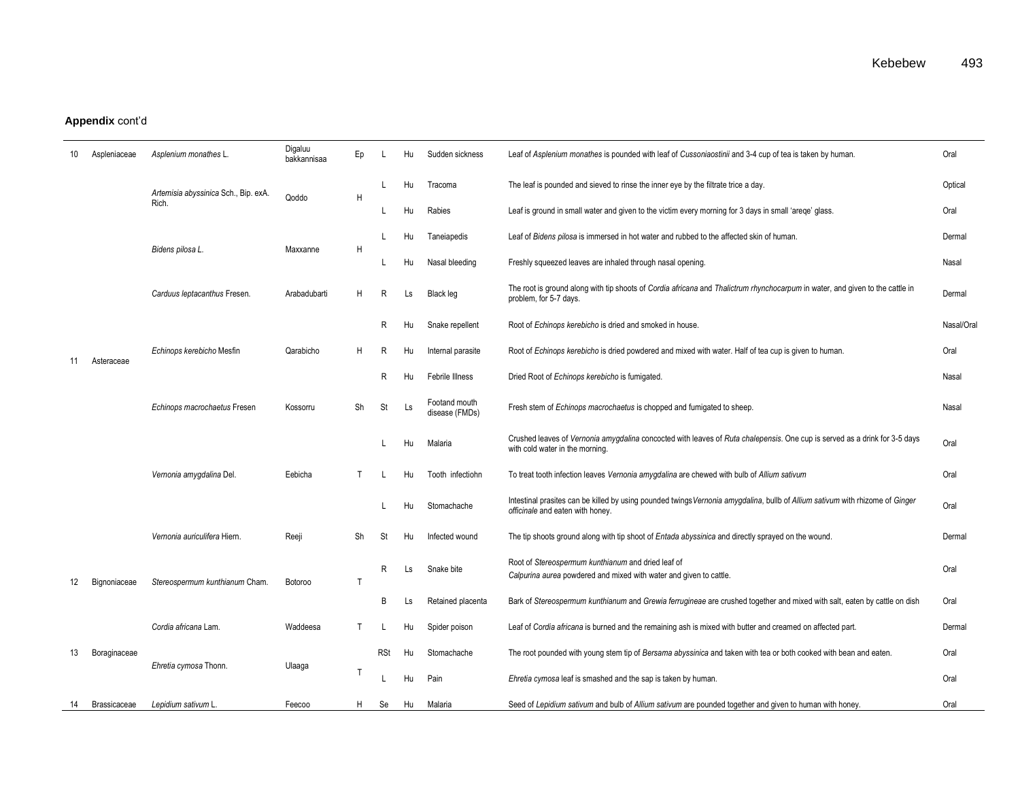|    | Aspleniaceae        | Asplenium monathes L.                | Digaluu<br>bakkannisaa | Ep           |            | Hu | Sudden sickness                 | Leaf of Asplenium monathes is pounded with leaf of Cussoniaostinii and 3-4 cup of tea is taken by human.                                                          | Oral       |
|----|---------------------|--------------------------------------|------------------------|--------------|------------|----|---------------------------------|-------------------------------------------------------------------------------------------------------------------------------------------------------------------|------------|
|    |                     | Artemisia abyssinica Sch., Bip. exA. | Qoddo                  | H            |            | Hu | Tracoma                         | The leaf is pounded and sieved to rinse the inner eye by the filtrate trice a day.                                                                                | Optical    |
|    |                     | Rich.                                |                        |              |            | Hu | Rabies                          | Leaf is ground in small water and given to the victim every morning for 3 days in small 'arege' glass.                                                            | Oral       |
|    |                     | Bidens pilosa L.                     | Maxxanne               | Н            |            | Hu | Taneiapedis                     | Leaf of Bidens pilosa is immersed in hot water and rubbed to the affected skin of human.                                                                          | Dermal     |
|    |                     |                                      |                        |              |            | Hu | Nasal bleeding                  | Freshly squeezed leaves are inhaled through nasal opening.                                                                                                        | Nasal      |
|    |                     | Carduus leptacanthus Fresen.         | Arabadubarti           | H            | R          | Ls | Black leg                       | The root is ground along with tip shoots of Cordia africana and Thalictrum rhynchocarpum in water, and given to the cattle in<br>problem, for 5-7 days.           | Dermal     |
|    |                     |                                      |                        |              | R          | Hu | Snake repellent                 | Root of Echinops kerebicho is dried and smoked in house.                                                                                                          | Nasal/Oral |
| 11 | Asteraceae          | Echinops kerebicho Mesfin            | Qarabicho              | H            | R.         | Hu | Internal parasite               | Root of Echinops kerebicho is dried powdered and mixed with water. Half of tea cup is given to human.                                                             | Oral       |
|    |                     |                                      |                        |              | R          | Hu | Febrile Illness                 | Dried Root of Echinops kerebicho is fumigated.                                                                                                                    | Nasal      |
|    |                     | Echinops macrochaetus Fresen         | Kossorru               | Sh           | St         | Ls | Footand mouth<br>disease (FMDs) | Fresh stem of Echinops macrochaetus is chopped and fumigated to sheep.                                                                                            | Nasal      |
|    |                     |                                      | Eebicha                |              |            | Hu | Malaria                         | Crushed leaves of Vernonia amygdalina concocted with leaves of Ruta chalepensis. One cup is served as a drink for 3-5 days<br>with cold water in the morning.     | Oral       |
|    |                     | Vernonia amygdalina Del.             |                        | т            |            | Hu | Tooth infectiohn                | To treat tooth infection leaves Vernonia amygdalina are chewed with bulb of Allium sativum                                                                        | Oral       |
|    |                     |                                      |                        |              |            | Hu | Stomachache                     | Intestinal prasites can be killed by using pounded twings Vernonia amygdalina, bullb of Allium sativum with rhizome of Ginger<br>officinale and eaten with honey. | Oral       |
|    |                     | Vernonia auriculifera Hiern.         | Reeji                  | Sh           | St         | Hu | Infected wound                  | The tip shoots ground along with tip shoot of Entada abyssinica and directly sprayed on the wound.                                                                | Dermal     |
| 12 | Bignoniaceae        | Stereospermum kunthianum Cham.       | Botoroo                | $\mathsf{T}$ | R          | Ls | Snake bite                      | Root of Stereospermum kunthianum and dried leaf of<br>Calpurina aurea powdered and mixed with water and given to cattle.                                          | Oral       |
|    |                     |                                      |                        |              | B          | Ls | Retained placenta               | Bark of Stereospermum kunthianum and Grewia ferrugineae are crushed together and mixed with salt, eaten by cattle on dish                                         | Oral       |
|    |                     | Cordia africana Lam.                 | Waddeesa               | T            |            | Hu | Spider poison                   | Leaf of Cordia africana is burned and the remaining ash is mixed with butter and creamed on affected part.                                                        | Dermal     |
| 13 | Boraginaceae        |                                      |                        |              | <b>RSt</b> | Hu | Stomachache                     | The root pounded with young stem tip of Bersama abyssinica and taken with tea or both cooked with bean and eaten.                                                 | Oral       |
|    |                     | Ehretia cymosa Thonn.                | Ulaaga                 |              |            | Hu | Pain                            | Ehretia cymosa leaf is smashed and the sap is taken by human.                                                                                                     | Oral       |
| 14 | <b>Brassicaceae</b> | Lepidium sativum L                   | Feecoo                 | H.           | Se         | Hu | Malaria                         | Seed of Lepidium sativum and bulb of Allium sativum are pounded together and given to human with honey.                                                           | Oral       |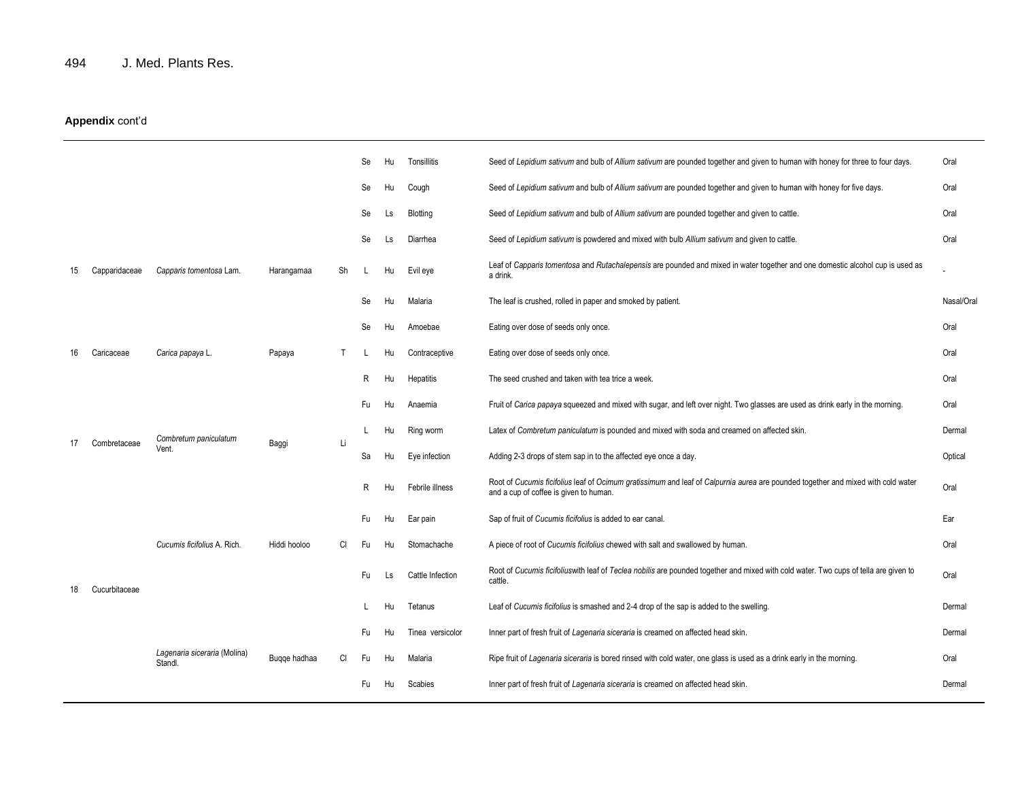## 494 J. Med. Plants Res.

|    |               |                                         |              |    | Se | Hu | Tonsillitis      | Seed of Lepidium sativum and bulb of Allium sativum are pounded together and given to human with honey for three to four days.                                             | Oral       |
|----|---------------|-----------------------------------------|--------------|----|----|----|------------------|----------------------------------------------------------------------------------------------------------------------------------------------------------------------------|------------|
|    |               |                                         |              |    | Se | Hu | Cough            | Seed of Lepidium sativum and bulb of Allium sativum are pounded together and given to human with honey for five days.                                                      | Oral       |
|    |               |                                         |              |    | Se | Ls | Blotting         | Seed of Lepidium sativum and bulb of Allium sativum are pounded together and given to cattle.                                                                              | Oral       |
|    |               |                                         |              |    | Se | Ls | Diarrhea         | Seed of Lepidium sativum is powdered and mixed with bulb Allium sativum and given to cattle.                                                                               | Oral       |
| 15 | Capparidaceae | Capparis tomentosa Lam.                 | Harangamaa   | Sh | L  | Hu | Evil eye         | Leaf of Capparis tomentosa and Rutachalepensis are pounded and mixed in water together and one domestic alcohol cup is used as<br>a drink.                                 |            |
|    |               |                                         |              |    | Se | Hu | Malaria          | The leaf is crushed, rolled in paper and smoked by patient.                                                                                                                | Nasal/Oral |
|    |               |                                         |              |    | Se | Hu | Amoebae          | Eating over dose of seeds only once.                                                                                                                                       | Oral       |
| 16 | Caricaceae    | Carica papaya L.                        | Papaya       |    |    | Hu | Contraceptive    | Eating over dose of seeds only once.                                                                                                                                       | Oral       |
|    |               |                                         |              |    | R  | Hu | Hepatitis        | The seed crushed and taken with tea trice a week.                                                                                                                          | Oral       |
|    |               |                                         |              |    | Fu | Hu | Anaemia          | Fruit of Carica papaya squeezed and mixed with sugar, and left over night. Two glasses are used as drink early in the morning.                                             | Oral       |
|    |               | Combretum paniculatum                   |              | Li |    | Hu | Ring worm        | Latex of Combretum paniculatum is pounded and mixed with soda and creamed on affected skin.                                                                                | Dermal     |
|    | Combretaceae  | Vent.                                   | Baggi        |    | Sa | Hu | Eye infection    | Adding 2-3 drops of stem sap in to the affected eye once a day.                                                                                                            | Optical    |
|    |               |                                         |              |    | R  | Hu | Febrile illness  | Root of Cucumis ficifolius leaf of Ocimum gratissimum and leaf of Calpurnia aurea are pounded together and mixed with cold water<br>and a cup of coffee is given to human. | Oral       |
|    |               |                                         |              |    | Fu | Hu | Ear pain         | Sap of fruit of Cucumis ficifolius is added to ear canal.                                                                                                                  | Ear        |
|    |               | Cucumis ficifolius A. Rich.             | Hiddi hooloo | CI | Fu | Hu | Stomachache      | A piece of root of Cucumis ficifolius chewed with salt and swallowed by human.                                                                                             | Oral       |
| 18 | Cucurbitaceae |                                         |              |    | Fu | Ls | Cattle Infection | Root of Cucumis ficifolius with leaf of Teclea nobilis are pounded together and mixed with cold water. Two cups of tella are given to<br>cattle.                           | Oral       |
|    |               |                                         |              |    |    | Hu | Tetanus          | Leaf of Cucumis ficifolius is smashed and 2-4 drop of the sap is added to the swelling.                                                                                    | Dermal     |
|    |               |                                         |              |    | Fu | Hu | Tinea versicolor | Inner part of fresh fruit of Lagenaria siceraria is creamed on affected head skin.                                                                                         | Dermal     |
|    |               | Lagenaria siceraria (Molina)<br>Standl. | Buqqe hadhaa | CI | Fu | Hu | Malaria          | Ripe fruit of Lagenaria siceraria is bored rinsed with cold water, one glass is used as a drink early in the morning.                                                      | Oral       |
|    |               |                                         |              |    | Fu | Hu | Scabies          | Inner part of fresh fruit of Lagenaria siceraria is creamed on affected head skin.                                                                                         | Dermal     |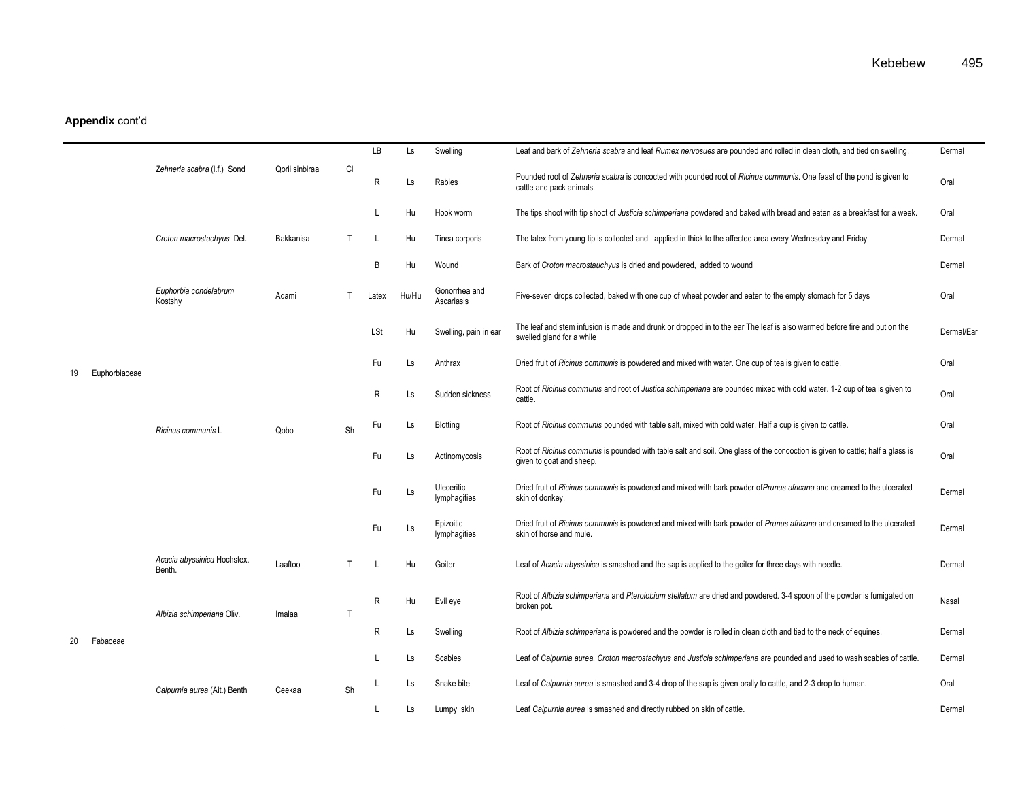|    |               |                                       |                |           | LB          | Ls    | Swelling                    | Leaf and bark of Zehneria scabra and leaf Rumex nervosues are pounded and rolled in clean cloth, and tied on swelling.                                    | Dermal     |
|----|---------------|---------------------------------------|----------------|-----------|-------------|-------|-----------------------------|-----------------------------------------------------------------------------------------------------------------------------------------------------------|------------|
|    |               | Zehneria scabra (I.f.) Sond           | Qorii sinbiraa | <b>CI</b> | R           | Ls    | Rabies                      | Pounded root of Zehneria scabra is concocted with pounded root of Ricinus communis. One feast of the pond is given to<br>cattle and pack animals.         | Oral       |
|    |               |                                       |                |           |             | Hu    | Hook worm                   | The tips shoot with tip shoot of Justicia schimperiana powdered and baked with bread and eaten as a breakfast for a week.                                 | Oral       |
|    |               | Croton macrostachyus Del.             | Bakkanisa      | т         |             | Hu    | Tinea corporis              | The latex from young tip is collected and applied in thick to the affected area every Wednesday and Friday                                                | Dermal     |
|    |               |                                       |                |           | B           | Hu    | Wound                       | Bark of Croton macrostauchyus is dried and powdered, added to wound                                                                                       | Dermal     |
|    |               | Euphorbia condelabrum<br>Kostshy      | Adami          |           | Latex       | Hu/Hu | Gonorrhea and<br>Ascariasis | Five-seven drops collected, baked with one cup of wheat powder and eaten to the empty stomach for 5 days                                                  | Oral       |
|    |               |                                       |                |           | LSt         | Hu    | Swelling, pain in ear       | The leaf and stem infusion is made and drunk or dropped in to the ear The leaf is also warmed before fire and put on the<br>swelled gland for a while     | Dermal/Ear |
| 19 | Euphorbiaceae |                                       |                |           | Fu          | Ls    | Anthrax                     | Dried fruit of Ricinus communis is powdered and mixed with water. One cup of tea is given to cattle.                                                      | Oral       |
|    |               | Ricinus communis L                    |                |           | R           | Ls    | Sudden sickness             | Root of Ricinus communis and root of Justica schimperiana are pounded mixed with cold water. 1-2 cup of tea is given to<br>cattle.                        | Oral       |
|    |               |                                       | Qobo           | Sh        | Fu          | Ls    | Blotting                    | Root of Ricinus communis pounded with table salt, mixed with cold water. Half a cup is given to cattle.                                                   | Oral       |
|    |               |                                       |                |           | Fu          | Ls    | Actinomycosis               | Root of Ricinus communis is pounded with table salt and soil. One glass of the concoction is given to cattle; half a glass is<br>given to goat and sheep. | Oral       |
|    |               |                                       |                |           | Fu          | Ls    | Uleceritic<br>lymphagities  | Dried fruit of Ricinus communis is powdered and mixed with bark powder of Prunus africana and creamed to the ulcerated<br>skin of donkey.                 | Dermal     |
|    |               |                                       |                |           | Fu          | Ls    | Epizoitic<br>lymphagities   | Dried fruit of Ricinus communis is powdered and mixed with bark powder of Prunus africana and creamed to the ulcerated<br>skin of horse and mule.         | Dermal     |
|    |               | Acacia abyssinica Hochstex.<br>Benth. | Laaftoo        | т         |             | Hu    | Goiter                      | Leaf of Acacia abyssinica is smashed and the sap is applied to the goiter for three days with needle.                                                     | Dermal     |
|    |               | Albizia schimperiana Oliv.            | Imalaa         | T         | R           | Hu    | Evil eye                    | Root of Albizia schimperiana and Pterolobium stellatum are dried and powdered. 3-4 spoon of the powder is fumigated on<br>broken pot.                     | Nasal      |
| 20 | Fabaceae      |                                       |                |           | $\mathsf R$ | Ls    | Swelling                    | Root of Albizia schimperiana is powdered and the powder is rolled in clean cloth and tied to the neck of equines.                                         | Dermal     |
|    |               |                                       |                |           |             | Ls.   | Scabies                     | Leaf of Calpurnia aurea, Croton macrostachyus and Justicia schimperiana are pounded and used to wash scabies of cattle.                                   | Dermal     |
|    |               | Calpurnia aurea (Ait.) Benth          | Ceekaa         | Sh        |             | Ls.   | Snake bite                  | Leaf of Calpurnia aurea is smashed and 3-4 drop of the sap is given orally to cattle, and 2-3 drop to human.                                              | Oral       |
|    |               |                                       |                |           |             | Ls    | Lumpy skin                  | Leaf Calpurnia aurea is smashed and directly rubbed on skin of cattle.                                                                                    | Dermal     |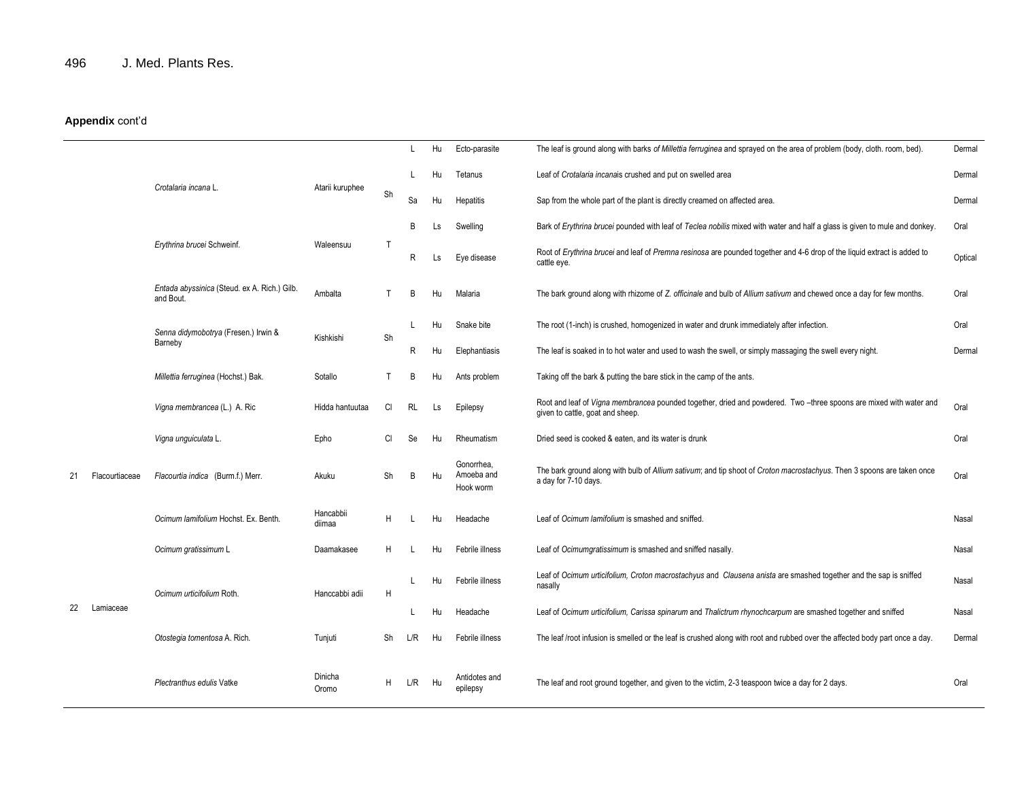|                 |                |                                                           |                     |               |     | Hu       | Ecto-parasite                                                                                               | The leaf is ground along with barks of Millettia ferruginea and sprayed on the area of problem (body, cloth. room, bed).                               | Dermal  |
|-----------------|----------------|-----------------------------------------------------------|---------------------|---------------|-----|----------|-------------------------------------------------------------------------------------------------------------|--------------------------------------------------------------------------------------------------------------------------------------------------------|---------|
|                 |                |                                                           |                     |               |     | Hu       | Tetanus                                                                                                     | Leaf of Crotalaria incanais crushed and put on swelled area                                                                                            | Dermal  |
|                 |                | Crotalaria incana L.                                      | Atarii kuruphee     | Sh            | Sa  | Hu       | Hepatitis                                                                                                   | Sap from the whole part of the plant is directly creamed on affected area.                                                                             | Dermal  |
|                 |                |                                                           |                     |               | B   | Ls       | Swelling                                                                                                    | Bark of Erythrina brucei pounded with leaf of Teclea nobilis mixed with water and half a glass is given to mule and donkey.                            | Oral    |
|                 |                | Erythrina brucei Schweinf.                                | Waleensuu           | $\mathsf{T}$  | R   | Ls       | Eye disease                                                                                                 | Root of Erythrina brucei and leaf of Premna resinosa are pounded together and 4-6 drop of the liquid extract is added to<br>cattle eye.                | Optical |
|                 |                | Entada abyssinica (Steud. ex A. Rich.) Gilb.<br>and Bout. | Ambalta             | $\mathsf{T}$  | B   | Hu       | Malaria                                                                                                     | The bark ground along with rhizome of Z. officinale and bulb of Allium sativum and chewed once a day for few months.                                   | Oral    |
|                 |                | Senna didymobotrya (Fresen.) Irwin &                      | Kishkishi           | Sh            |     | Hu       | Snake bite                                                                                                  | The root (1-inch) is crushed, homogenized in water and drunk immediately after infection.                                                              | Oral    |
|                 |                | Barneby                                                   |                     |               | R   | Hu       | Elephantiasis                                                                                               | The leaf is soaked in to hot water and used to wash the swell, or simply massaging the swell every night.                                              | Dermal  |
|                 |                | Millettia ferruginea (Hochst.) Bak.                       | Sotallo             | т             | B   | Hu       | Ants problem                                                                                                | Taking off the bark & putting the bare stick in the camp of the ants.                                                                                  |         |
|                 |                | Vigna membrancea (L.) A. Ric                              | Hidda hantuutaa     | CI            | RL  | Ls       | Epilepsy                                                                                                    | Root and leaf of Vigna membrancea pounded together, dried and powdered. Two -three spoons are mixed with water and<br>given to cattle, goat and sheep. | Oral    |
|                 |                | Vigna unguiculata L.                                      | Epho                | <sub>CI</sub> | Se  | Hu       | Rheumatism                                                                                                  | Dried seed is cooked & eaten, and its water is drunk                                                                                                   | Oral    |
| 21              | Flacourtiaceae | Flacourtia indica (Burm.f.) Merr.                         | Akuku               | Sh            | B   | Hu       | Gonorrhea.<br>Amoeba and<br>Hook worm                                                                       | The bark ground along with bulb of Allium sativum; and tip shoot of Croton macrostachyus. Then 3 spoons are taken once<br>a day for 7-10 days.         | Oral    |
|                 |                | Ocimum lamifolium Hochst, Ex. Benth.                      | Hancabbii<br>diimaa | н             |     | Hu       | Headache                                                                                                    | Leaf of Ocimum lamifolium is smashed and sniffed.                                                                                                      | Nasal   |
|                 |                | Ocimum gratissimum L                                      | Daamakasee          | н             |     | Hu       | Febrile illness                                                                                             | Leaf of Ocimumgratissimum is smashed and sniffed nasally.                                                                                              | Nasal   |
|                 |                | Ocimum urticifolium Roth.                                 | Hanccabbi adii      | H             |     | Hu       | Febrile illness                                                                                             | Leaf of Ocimum urticifolium, Croton macrostachyus and Clausena anista are smashed together and the sap is sniffed<br>nasally                           | Nasal   |
| 22<br>Lamiaceae |                |                                                           |                     |               | Hu  | Headache | Leaf of Ocimum urticifolium, Carissa spinarum and Thalictrum rhynochcarpum are smashed together and sniffed | Nasal                                                                                                                                                  |         |
|                 |                | Otostegia tomentosa A. Rich.                              | Tunjuti             | Sh            | L/R | Hu       | Febrile illness                                                                                             | The leaf /root infusion is smelled or the leaf is crushed along with root and rubbed over the affected body part once a day.                           | Dermal  |
|                 |                | Plectranthus edulis Vatke                                 | Dinicha<br>Oromo    | H             | L/R | Hu       | Antidotes and<br>epilepsy                                                                                   | The leaf and root ground together, and given to the victim, 2-3 teaspoon twice a day for 2 days.                                                       | Oral    |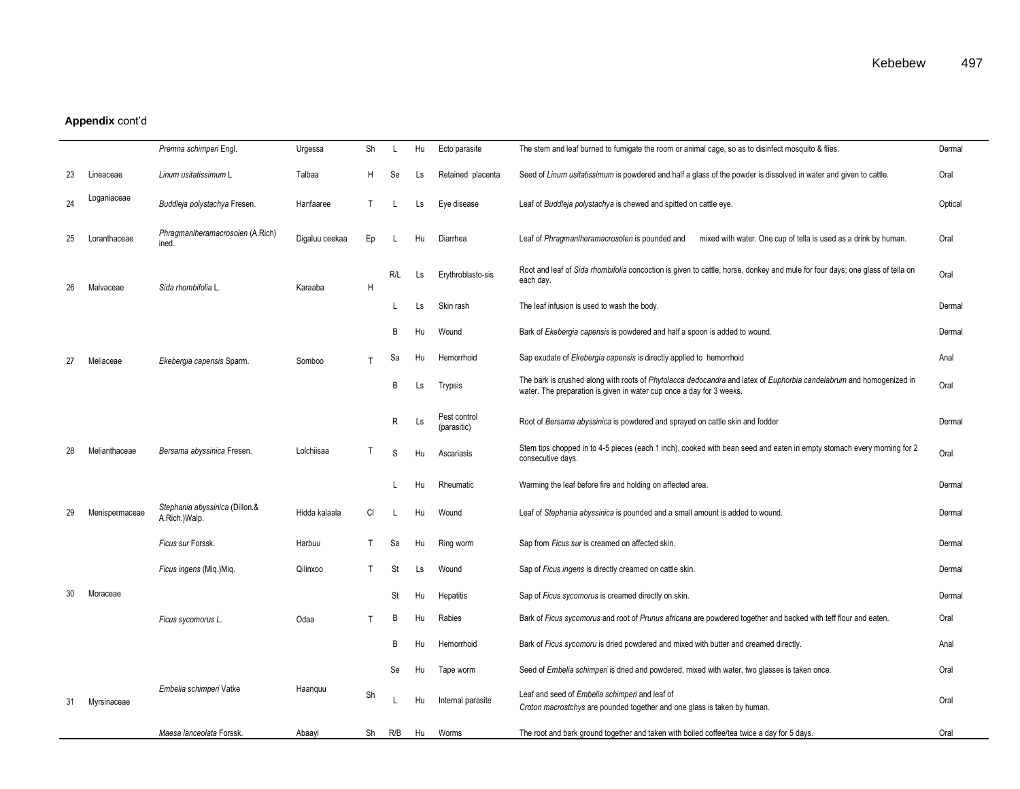|    |                | Premna schimperi Engl.                          | Urgessa        | Sh  |     | Hu | Ecto parasite               | The stem and leaf burned to fumigate the room or animal cage, so as to disinfect mosquito & flies.                                                                                          | Dermal  |
|----|----------------|-------------------------------------------------|----------------|-----|-----|----|-----------------------------|---------------------------------------------------------------------------------------------------------------------------------------------------------------------------------------------|---------|
| 23 | Lineaceae      | Linum usitatissimum L                           | Talbaa         | H   | Se  | Ls | Retained placenta           | Seed of Linum usitatissimum is powdered and half a glass of the powder is dissolved in water and given to cattle.                                                                           | Oral    |
| 24 | Loganiaceae    | Buddleja polystachya Fresen.                    | Hanfaaree      | T   |     | Ls | Eye disease                 | Leaf of Buddleja polystachya is chewed and spitted on cattle eye.                                                                                                                           | Optical |
| 25 | Loranthaceae   | Phragmanlheramacrosolen (A.Rich)<br>ined.       | Digaluu ceekaa | Ep  |     | Hu | Diarrhea                    | Leaf of Phragmanlheramacrosolen is pounded and<br>mixed with water. One cup of tella is used as a drink by human.                                                                           | Oral    |
| 26 | Malvaceae      | Sida rhombifolia L.                             | Karaaba        | H   | R/L | Ls | Erythroblasto-sis           | Root and leaf of Sida rhombifolia concoction is given to cattle, horse, donkey and mule for four days; one glass of tella on<br>each day.                                                   | Oral    |
|    |                |                                                 |                |     |     | Ls | Skin rash                   | The leaf infusion is used to wash the body.                                                                                                                                                 | Dermal  |
|    | Meliaceae      | Ekebergia capensis Sparm.                       | Somboo         |     | В   | Hu | Wound                       | Bark of Ekebergia capensis is powdered and half a spoon is added to wound.                                                                                                                  | Dermal  |
| 27 |                |                                                 |                | T   | Sa  | Hu | Hemorrhoid                  | Sap exudate of Ekebergia capensis is directly applied to hemorrhoid                                                                                                                         | Anal    |
|    |                |                                                 |                |     | В   | Ls | Trypsis                     | The bark is crushed along with roots of Phytolacca dedocandra and latex of Euphorbia candelabrum and homogenized in<br>water. The preparation is given in water cup once a day for 3 weeks. | Oral    |
|    |                |                                                 |                |     | R   | Ls | Pest control<br>(parasitic) | Root of Bersama abyssinica is powdered and sprayed on cattle skin and fodder                                                                                                                | Dermal  |
| 28 | Melianthaceae  | Bersama abyssinica Fresen.                      | Lolchiisaa     | Т   | S   | Hu | Ascariasis                  | Stem tips chopped in to 4-5 pieces (each 1 inch), cooked with bean seed and eaten in empty stomach every morning for 2<br>consecutive days.                                                 | Oral    |
|    |                |                                                 |                |     |     | Hu | Rheumatic                   | Warming the leaf before fire and holding on affected area.                                                                                                                                  | Dermal  |
| 29 | Menispermaceae | Stephania abyssinica (Dillon.&<br>A.Rich.)Walp. | Hidda kalaala  | CI. | L   | Hu | Wound                       | Leaf of Stephania abyssinica is pounded and a small amount is added to wound.                                                                                                               | Dermal  |
|    |                | Ficus sur Forssk.                               | Harbuu         | Τ   | Sa  | Hu | Ring worm                   | Sap from Ficus sur is creamed on affected skin.                                                                                                                                             | Dermal  |
|    |                | Ficus ingens (Mig.) Mig.                        | Qilinxoo       |     | St  | Ls | Wound                       | Sap of Ficus ingens is directly creamed on cattle skin.                                                                                                                                     | Dermal  |
| 30 | Moraceae       |                                                 |                |     | St  | Hu | Hepatitis                   | Sap of Ficus sycomorus is creamed directly on skin.                                                                                                                                         | Dermal  |
|    |                | Ficus sycomorus L.                              | Odaa           | т   | B   | Hu | Rabies                      | Bark of Ficus sycomorus and root of Prunus africana are powdered together and backed with teff flour and eaten.                                                                             | Oral    |
|    |                |                                                 |                |     | В   | Hu | Hemorrhoid                  | Bark of Ficus sycomoru is dried powdered and mixed with butter and creamed directly.                                                                                                        | Anal    |
|    |                |                                                 |                |     | Se  | Hu | Tape worm                   | Seed of <i>Embelia schimperi</i> is dried and powdered, mixed with water, two glasses is taken once.                                                                                        | Oral    |
| 31 | Myrsinaceae    | Embelia schimperi Vatke                         | Haanguu        | Sh  |     | Hu | Internal parasite           | Leaf and seed of Embelia schimperi and leaf of<br>Croton macrostchys are pounded together and one glass is taken by human.                                                                  | Oral    |
|    |                | Maesa lanceolata Forssk.                        | Abaayi         | Sh  | R/B | Hu | Worms                       | The root and bark ground together and taken with boiled coffee/tea twice a day for 5 days.                                                                                                  | Oral    |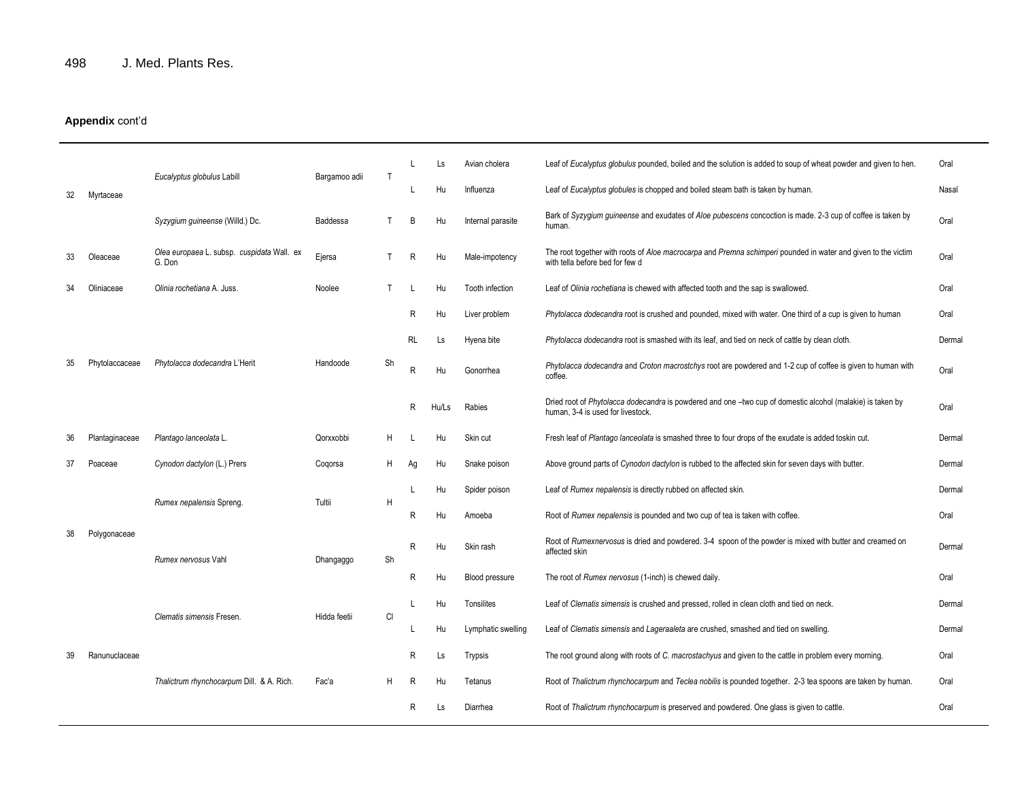|    | Myrtaceae      |                                                      |               |              |           | Ls    | Avian cholera      | Leaf of Eucalyptus globulus pounded, boiled and the solution is added to soup of wheat powder and given to hen.                                  | Oral   |
|----|----------------|------------------------------------------------------|---------------|--------------|-----------|-------|--------------------|--------------------------------------------------------------------------------------------------------------------------------------------------|--------|
| 32 |                | Eucalyptus globulus Labill                           | Bargamoo adii | $\mathsf{T}$ |           | Hu    | Influenza          | Leaf of Eucalyptus globules is chopped and boiled steam bath is taken by human.                                                                  | Nasal  |
|    |                | Syzygium guineense (Willd.) Dc.                      | Baddessa      | т            | B         | Hu    | Internal parasite  | Bark of Syzygium guineense and exudates of Aloe pubescens concoction is made. 2-3 cup of coffee is taken by<br>human.                            | Oral   |
| 33 | Oleaceae       | Olea europaea L. subsp. cuspidata Wall. ex<br>G. Don | Ejersa        |              | R         | Hu    | Male-impotency     | The root together with roots of Aloe macrocarpa and Premna schimperi pounded in water and given to the victim<br>with tella before bed for few d | Oral   |
|    | Oliniaceae     | Olinia rochetiana A. Juss.                           | Noolee        | т            |           | Hu    | Tooth infection    | Leaf of Olinia rochetiana is chewed with affected tooth and the sap is swallowed.                                                                | Oral   |
|    | Phytolaccaceae | Phytolacca dodecandra L'Herit                        | Handoode      | Sh           | R         | Hu    | Liver problem      | Phytolacca dodecandra root is crushed and pounded, mixed with water. One third of a cup is given to human                                        | Oral   |
|    |                |                                                      |               |              | <b>RL</b> | Ls    | Hyena bite         | Phytolacca dodecandra root is smashed with its leaf, and tied on neck of cattle by clean cloth.                                                  | Dermal |
| 35 |                |                                                      |               |              | R         | Hu    | Gonorrhea          | Phytolacca dodecandra and Croton macrostchys root are powdered and 1-2 cup of coffee is given to human with<br>coffee.                           | Oral   |
|    |                |                                                      |               |              | R         | Hu/Ls | Rabies             | Dried root of Phytolacca dodecandra is powdered and one -two cup of domestic alcohol (malakie) is taken by<br>human. 3-4 is used for livestock.  | Oral   |
| 36 | Plantaginaceae | Plantago lanceolata L.                               | Qorxxobbi     | H            |           | Hu    | Skin cut           | Fresh leaf of Plantago lanceolata is smashed three to four drops of the exudate is added toskin cut.                                             | Dermal |
| 37 | Poaceae        | Cynodon dactylon (L.) Prers                          | Cogorsa       | Н            | Ag        | Hu    | Snake poison       | Above ground parts of Cynodon dactylon is rubbed to the affected skin for seven days with butter.                                                | Dermal |
|    | Polygonaceae   | Rumex nepalensis Spreng.                             | Tultii        | н            |           | Hu    | Spider poison      | Leaf of Rumex nepalensis is directly rubbed on affected skin.                                                                                    | Dermal |
|    |                |                                                      |               |              | R         | Hu    | Amoeba             | Root of Rumex nepalensis is pounded and two cup of tea is taken with coffee.                                                                     | Oral   |
| 38 |                | Rumex nervosus Vahl                                  | Dhangaggo     | Sh           | R         | Hu    | Skin rash          | Root of Rumexnervosus is dried and powdered. 3-4 spoon of the powder is mixed with butter and creamed on<br>affected skin                        | Dermal |
|    |                |                                                      |               |              | R         | Hu    | Blood pressure     | The root of Rumex nervosus (1-inch) is chewed daily.                                                                                             | Oral   |
|    | Ranunuclaceae  | Clematis simensis Fresen.                            | Hidda feetii  | CI           |           | Hu    | Tonsilites         | Leaf of Clematis simensis is crushed and pressed, rolled in clean cloth and tied on neck.                                                        | Dermal |
|    |                |                                                      |               |              |           | Hu    | Lymphatic swelling | Leaf of Clematis simensis and Lageraaleta are crushed, smashed and tied on swelling.                                                             | Dermal |
| 39 |                | Thalictrum rhynchocarpum Dill. & A. Rich.            | Fac'a         | н            | R         | Ls    | Trypsis            | The root ground along with roots of C. macrostachyus and given to the cattle in problem every morning.                                           | Oral   |
|    |                |                                                      |               |              | R         | Hu    | Tetanus            | Root of Thalictrum rhynchocarpum and Teclea nobilis is pounded together. 2-3 tea spoons are taken by human.                                      | Oral   |
|    |                |                                                      |               |              | R         | Ls    | Diarrhea           | Root of Thalictrum rhynchocarpum is preserved and powdered. One glass is given to cattle.                                                        | Oral   |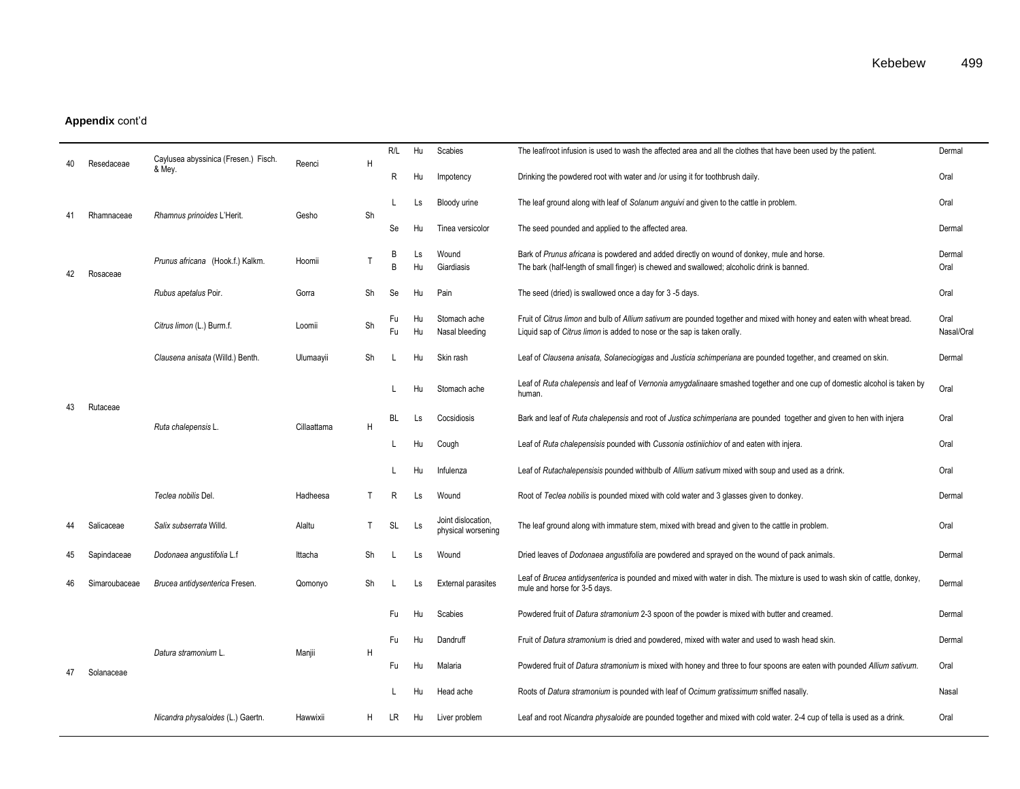|    |               | Caylusea abyssinica (Fresen.) Fisch. |             |              | R/L           | Hu       | Scabies                                  | The leaf/root infusion is used to wash the affected area and all the clothes that have been used by the patient.                                                                                  | Dermal             |
|----|---------------|--------------------------------------|-------------|--------------|---------------|----------|------------------------------------------|---------------------------------------------------------------------------------------------------------------------------------------------------------------------------------------------------|--------------------|
|    | Resedaceae    | & Mey.                               | Reenci      | H            | R             | Hu       | Impotency                                | Drinking the powdered root with water and /or using it for toothbrush daily.                                                                                                                      | Oral               |
| 41 | Rhamnaceae    | Rhamnus prinoides L'Herit.           |             |              |               | l s      | Bloody urine                             | The leaf ground along with leaf of Solanum anguivi and given to the cattle in problem.                                                                                                            | Oral               |
|    |               |                                      | Gesho       | Sh           | Se            | Hu       | Tinea versicolor                         | The seed pounded and applied to the affected area.                                                                                                                                                | Dermal             |
| 42 | Rosaceae      | Prunus africana (Hook.f.) Kalkm.     | Hoomii      | $\mathsf{T}$ | B<br><b>B</b> | Ls<br>Hu | Wound<br>Giardiasis                      | Bark of Prunus africana is powdered and added directly on wound of donkey, mule and horse.<br>The bark (half-length of small finger) is chewed and swallowed; alcoholic drink is banned.          | Dermal<br>Oral     |
|    |               | Rubus apetalus Poir.                 | Gorra       | Sh           | Se            | Hu       | Pain                                     | The seed (dried) is swallowed once a day for 3 -5 days.                                                                                                                                           | Oral               |
|    |               | Citrus limon (L.) Burm.f.            | Loomii      | Sh           | Fu<br>Fu      | Hu<br>Hu | Stomach ache<br>Nasal bleeding           | Fruit of Citrus limon and bulb of Allium sativum are pounded together and mixed with honey and eaten with wheat bread.<br>Liquid sap of Citrus limon is added to nose or the sap is taken orally. | Oral<br>Nasal/Oral |
|    |               | Clausena anisata (Willd.) Benth.     | Ulumaayii   | Sh           |               | Hu       | Skin rash                                | Leaf of Clausena anisata, Solaneciogigas and Justicia schimperiana are pounded together, and creamed on skin.                                                                                     | Dermal             |
|    | Rutaceae      | Ruta chalepensis L.                  | Cillaattama | H            |               | Hu       | Stomach ache                             | Leaf of Ruta chalepensis and leaf of Vernonia amygdalinaare smashed together and one cup of domestic alcohol is taken by<br>human.                                                                | Oral               |
| 43 |               |                                      |             |              | BL            | Ls       | Cocsidiosis                              | Bark and leaf of Ruta chalepensis and root of Justica schimperiana are pounded together and given to hen with injera                                                                              | Oral               |
|    |               |                                      |             |              |               | Hu       | Cough                                    | Leaf of Ruta chalepensisis pounded with Cussonia ostiniichiov of and eaten with injera.                                                                                                           | Oral               |
|    |               |                                      |             |              |               | Hu       | Infulenza                                | Leaf of Rutachalepensisis pounded withbulb of Allium sativum mixed with soup and used as a drink.                                                                                                 | Oral               |
|    |               | Teclea nobilis Del.                  | Hadheesa    |              | R             | Ls       | Wound                                    | Root of Teclea nobilis is pounded mixed with cold water and 3 glasses given to donkey.                                                                                                            | Dermal             |
|    | Salicaceae    | Salix subserrata Willd.              | Alaltu      |              | SL            | Ls       | Joint dislocation,<br>physical worsening | The leaf ground along with immature stem, mixed with bread and given to the cattle in problem.                                                                                                    | Oral               |
| 45 | Sapindaceae   | Dodonaea angustifolia L.f            | Ittacha     | Sh           |               | Ls       | Wound                                    | Dried leaves of Dodonaea angustifolia are powdered and sprayed on the wound of pack animals.                                                                                                      | Dermal             |
|    | Simaroubaceae | Brucea antidysenterica Fresen.       | Qomonyo     | Sh           |               | Ls       | <b>External parasites</b>                | Leaf of Brucea antidysenterica is pounded and mixed with water in dish. The mixture is used to wash skin of cattle, donkey,<br>mule and horse for 3-5 days.                                       | Dermal             |
|    | Solanaceae    | Datura stramonium L.                 | Manjii      | H            | Fu            | Hu       | Scabies                                  | Powdered fruit of Datura stramonium 2-3 spoon of the powder is mixed with butter and creamed.                                                                                                     | Dermal             |
| 47 |               |                                      |             |              | Fu            | Hu       | Dandruff                                 | Fruit of Datura stramonium is dried and powdered, mixed with water and used to wash head skin.                                                                                                    | Dermal             |
|    |               |                                      |             |              | Fu            | Hu       | Malaria                                  | Powdered fruit of Datura stramonium is mixed with honey and three to four spoons are eaten with pounded Allium sativum.                                                                           | Oral               |
|    |               |                                      |             |              |               | Hu       | Head ache                                | Roots of Datura stramonium is pounded with leaf of Ocimum gratissimum sniffed nasally.                                                                                                            | Nasal              |
|    |               | Nicandra physaloides (L.) Gaertn.    | Hawwixii    | н            | LR            | Hu       | Liver problem                            | Leaf and root Nicandra physaloide are pounded together and mixed with cold water. 2-4 cup of tella is used as a drink.                                                                            | Oral               |